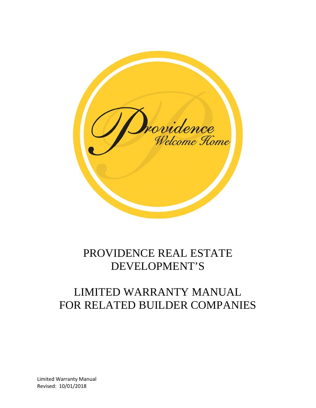

# PROVIDENCE REAL ESTATE DEVELOPMENT'S

# LIMITED WARRANTY MANUAL FOR RELATED BUILDER COMPANIES

Limited Warranty Manual Revised: 10/01/2018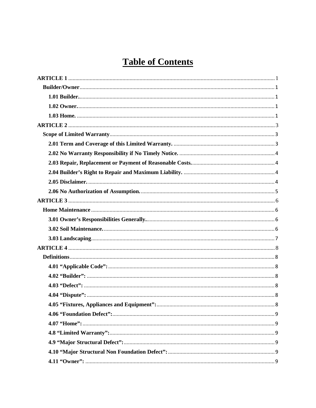# **Table of Contents**

| 8 |
|---|
|   |
|   |
|   |
|   |
|   |
|   |
|   |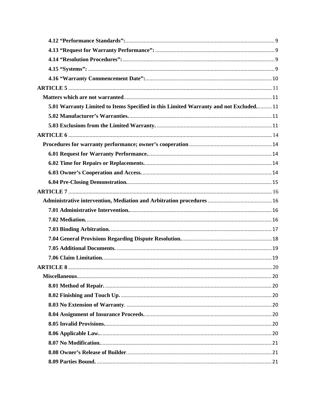| 5.01 Warranty Limited to Items Specified in this Limited Warranty and not Excluded 11 |  |
|---------------------------------------------------------------------------------------|--|
|                                                                                       |  |
|                                                                                       |  |
|                                                                                       |  |
|                                                                                       |  |
|                                                                                       |  |
|                                                                                       |  |
|                                                                                       |  |
|                                                                                       |  |
|                                                                                       |  |
|                                                                                       |  |
|                                                                                       |  |
|                                                                                       |  |
|                                                                                       |  |
|                                                                                       |  |
|                                                                                       |  |
|                                                                                       |  |
|                                                                                       |  |
|                                                                                       |  |
|                                                                                       |  |
|                                                                                       |  |
|                                                                                       |  |
|                                                                                       |  |
|                                                                                       |  |
|                                                                                       |  |
|                                                                                       |  |
|                                                                                       |  |
|                                                                                       |  |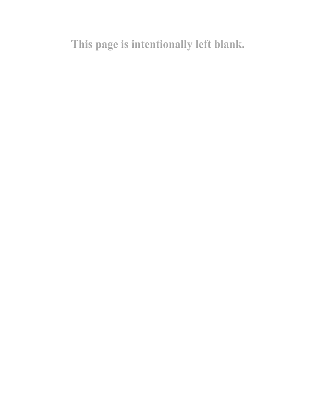This page is intentionally left blank.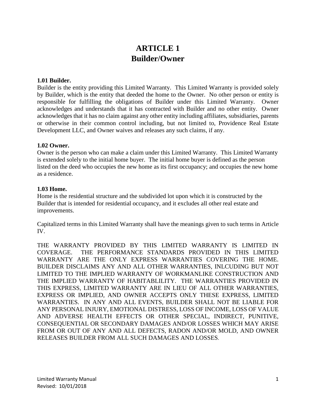# **ARTICLE 1 Builder/Owner**

### **1.01 Builder.**

Builder is the entity providing this Limited Warranty. This Limited Warranty is provided solely by Builder, which is the entity that deeded the home to the Owner. No other person or entity is responsible for fulfilling the obligations of Builder under this Limited Warranty. Owner acknowledges and understands that it has contracted with Builder and no other entity. Owner acknowledges that it has no claim against any other entity including affiliates, subsidiaries, parents or otherwise in their common control including, but not limited to, Providence Real Estate Development LLC, and Owner waives and releases any such claims, if any.

### **1.02 Owner.**

Owner is the person who can make a claim under this Limited Warranty. This Limited Warranty is extended solely to the initial home buyer. The initial home buyer is defined as the person listed on the deed who occupies the new home as its first occupancy; and occupies the new home as a residence.

### **1.03 Home.**

Home is the residential structure and the subdivided lot upon which it is constructed by the Builder that is intended for residential occupancy, and it excludes all other real estate and improvements.

Capitalized terms in this Limited Warranty shall have the meanings given to such terms in Article IV.

THE WARRANTY PROVIDED BY THIS LIMITED WARRANTY IS LIMITED IN COVERAGE. THE PERFORMANCE STANDARDS PROVIDED IN THIS LIMITED WARRANTY ARE THE ONLY EXPRESS WARRANTIES COVERING THE HOME. BUILDER DISCLAIMS ANY AND ALL OTHER WARRANTIES, INLCUDING BUT NOT LIMITED TO THE IMPLIED WARRANTY OF WORKMANLIKE CONSTRUCTION AND THE IMPLIED WARRANTY OF HABITABLILITY. THE WARRANTIES PROVIDED IN THIS EXPRESS, LIMITED WARRANTY ARE IN LIEU OF ALL OTHER WARRANTIES, EXPRESS OR IMPLIED, AND OWNER ACCEPTS ONLY THESE EXPRESS, LIMITED WARRANTIES. IN ANY AND ALL EVENTS, BUILDER SHALL NOT BE LIABLE FOR ANY PERSONAL INJURY, EMOTIONAL DISTRESS, LOSS OF INCOME, LOSS OF VALUE AND ADVERSE HEALTH EFFECTS OR OTHER SPECIAL, INDIRECT, PUNITIVE, CONSEQUENTIAL OR SECONDARY DAMAGES AND/OR LOSSES WHICH MAY ARISE FROM OR OUT OF ANY AND ALL DEFECTS, RADON AND/OR MOLD, AND OWNER RELEASES BUILDER FROM ALL SUCH DAMAGES AND LOSSES.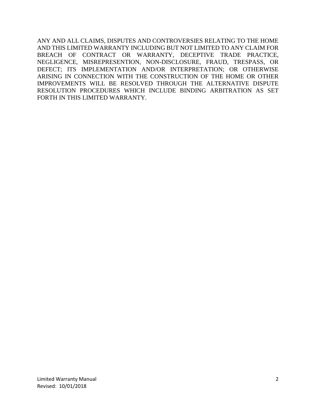ANY AND ALL CLAIMS, DISPUTES AND CONTROVERSIES RELATING TO THE HOME AND THIS LIMITED WARRANTY INCLUDING BUT NOT LIMITED TO ANY CLAIM FOR BREACH OF CONTRACT OR WARRANTY, DECEPTIVE TRADE PRACTICE, NEGLIGENCE, MISREPRESENTION, NON-DISCLOSURE, FRAUD, TRESPASS, OR DEFECT; ITS IMPLEMENTATION AND/OR INTERPRETATION; OR OTHERWISE ARISING IN CONNECTION WITH THE CONSTRUCTION OF THE HOME OR OTHER IMPROVEMENTS WILL BE RESOLVED THROUGH THE ALTERNATIVE DISPUTE RESOLUTION PROCEDURES WHICH INCLUDE BINDING ARBITRATION AS SET FORTH IN THIS LIMITED WARRANTY.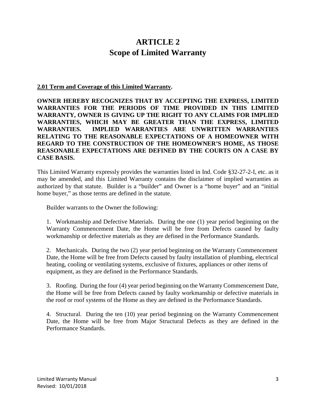# **ARTICLE 2 Scope of Limited Warranty**

**2.01 Term and Coverage of this Limited Warranty.**

**OWNER HEREBY RECOGNIZES THAT BY ACCEPTING THE EXPRESS, LIMITED WARRANTIES FOR THE PERIODS OF TIME PROVIDED IN THIS LIMITED WARRANTY, OWNER IS GIVING UP THE RIGHT TO ANY CLAIMS FOR IMPLIED WARRANTIES, WHICH MAY BE GREATER THAN THE EXPRESS, LIMITED WARRANTIES. IMPLIED WARRANTIES ARE UNWRITTEN WARRANTIES RELATING TO THE REASONABLE EXPECTATIONS OF A HOMEOWNER WITH REGARD TO THE CONSTRUCTION OF THE HOMEOWNER'S HOME, AS THOSE REASONABLE EXPECTATIONS ARE DEFINED BY THE COURTS ON A CASE BY CASE BASIS.**

This Limited Warranty expressly provides the warranties listed in Ind. Code §32-27-2-I, etc. as it may be amended, and this Limited Warranty contains the disclaimer of implied warranties as authorized by that statute. Builder is a "builder" and Owner is a "home buyer" and an "initial home buyer," as those terms are defined in the statute.

Builder warrants to the Owner the following:

1. Workmanship and Defective Materials. During the one (1) year period beginning on the Warranty Commencement Date, the Home will be free from Defects caused by faulty workmanship or defective materials as they are defined in the Performance Standards.

2. Mechanicals. During the two (2) year period beginning on the Warranty Commencement Date, the Home will be free from Defects caused by faulty installation of plumbing, electrical heating, cooling or ventilating systems, exclusive of fixtures, appliances or other items of equipment, as they are defined in the Performance Standards.

3. Roofing. During the four (4) year period beginning on the Warranty Commencement Date, the Home will be free from Defects caused by faulty workmanship or defective materials in the roof or roof systems of the Home as they are defined in the Performance Standards.

4. Structural. During the ten (10) year period beginning on the Warranty Commencement Date, the Home will be free from Major Structural Defects as they are defined in the Performance Standards.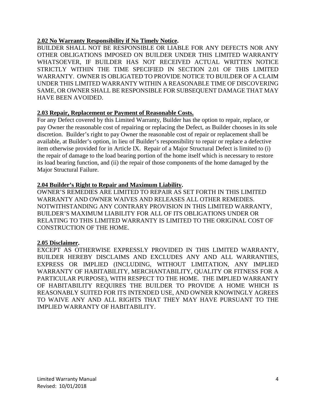# **2.02 No Warranty Responsibility if No Timely Notice.**

BUILDER SHALL NOT BE RESPONSIBLE OR LIABLE FOR ANY DEFECTS NOR ANY OTHER OBLIGATIONS IMPOSED ON BUILDER UNDER THIS LIMITED WARRANTY WHATSOEVER, IF BUILDER HAS NOT RECEIVED ACTUAL WRITTEN NOTICE STRICTLY WITHIN THE TIME SPECIFIED IN SECTION 2.01 OF THIS LIMITED WARRANTY. OWNER IS OBLIGATED TO PROVIDE NOTICE TO BUILDER OF A CLAIM UNDER THIS LIMITED WARRANTY WITHIN A REASONABLE TIME OF DISCOVERING SAME, OR OWNER SHALL BE RESPONSIBLE FOR SUBSEQUENT DAMAGE THAT MAY HAVE BEEN AVOIDED.

# **2.03 Repair, Replacement or Payment of Reasonable Costs.**

For any Defect covered by this Limited Warranty, Builder has the option to repair, replace, or pay Owner the reasonable cost of repairing or replacing the Defect, as Builder chooses in its sole discretion. Builder's right to pay Owner the reasonable cost of repair or replacement shall be available, at Builder's option, in lieu of Builder's responsibility to repair or replace a defective item otherwise provided for in Article IX. Repair of a Major Structural Defect is limited to (i) the repair of damage to the load bearing portion of the home itself which is necessary to restore its load bearing function, and (ii) the repair of those components of the home damaged by the Major Structural Failure.

# **2.04 Builder's Right to Repair and Maximum Liability.**

OWNER'S REMEDIES ARE LIMITED TO REPAIR AS SET FORTH IN THIS LIMITED WARRANTY AND OWNER WAIVES AND RELEASES ALL OTHER REMEDIES. NOTWITHSTANDING ANY CONTRARY PROVISION IN THIS LIMITED WARRANTY, BUILDER'S MAXIMUM LIABILITY FOR ALL OF ITS OBLIGATIONS UNDER OR RELATING TO THIS LIMITED WARRANTY IS LIMITED TO THE ORIGINAL COST OF CONSTRUCTION OF THE HOME.

# **2.05 Disclaimer.**

EXCEPT AS OTHERWISE EXPRESSLY PROVIDED IN THIS LIMITED WARRANTY, BUILDER HEREBY DISCLAIMS AND EXCLUDES ANY AND ALL WARRANTIES, EXPRESS OR IMPLIED (INCLUDING, WITHOUT LIMITATION, ANY IMPLIED WARRANTY OF HABITABILITY, MERCHANTABILITY, QUALITY OR FITNESS FOR A PARTICULAR PURPOSE), WITH RESPECT TO THE HOME. THE IMPLIED WARRANTY OF HABITABILITY REQUIRES THE BUILDER TO PROVIDE A HOME WHICH IS REASONABLY SUITED FOR ITS INTENDED USE, AND OWNER KNOWINGLY AGREES TO WAIVE ANY AND ALL RIGHTS THAT THEY MAY HAVE PURSUANT TO THE IMPLIED WARRANTY OF HABITABILITY.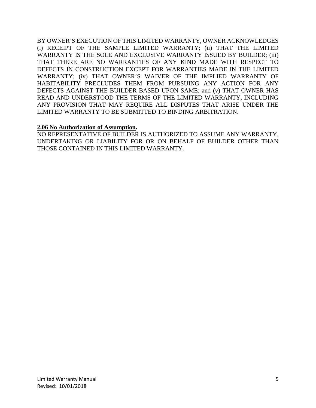BY OWNER'S EXECUTION OF THIS LIMITED WARRANTY, OWNER ACKNOWLEDGES (i) RECEIPT OF THE SAMPLE LIMITED WARRANTY; (ii) THAT THE LIMITED WARRANTY IS THE SOLE AND EXCLUSIVE WARRANTY ISSUED BY BUILDER; (iii) THAT THERE ARE NO WARRANTIES OF ANY KIND MADE WITH RESPECT TO DEFECTS IN CONSTRUCTION EXCEPT FOR WARRANTIES MADE IN THE LIMITED WARRANTY; (iv) THAT OWNER'S WAIVER OF THE IMPLIED WARRANTY OF HABITABILITY PRECLUDES THEM FROM PURSUING ANY ACTION FOR ANY DEFECTS AGAINST THE BUILDER BASED UPON SAME; and (v) THAT OWNER HAS READ AND UNDERSTOOD THE TERMS OF THE LIMITED WARRANTY, INCLUDING ANY PROVISION THAT MAY REQUIRE ALL DISPUTES THAT ARISE UNDER THE LIMITED WARRANTY TO BE SUBMITTED TO BINDING ARBITRATION.

### **2.06 No Authorization of Assumption.**

NO REPRESENTATIVE OF BUILDER IS AUTHORIZED TO ASSUME ANY WARRANTY, UNDERTAKING OR LIABILITY FOR OR ON BEHALF OF BUILDER OTHER THAN THOSE CONTAINED IN THIS LIMITED WARRANTY.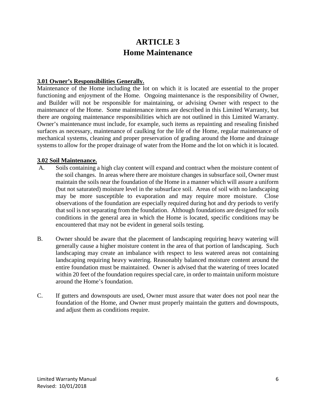# **ARTICLE 3 Home Maintenance**

### **3.01 Owner's Responsibilities Generally.**

Maintenance of the Home including the lot on which it is located are essential to the proper functioning and enjoyment of the Home. Ongoing maintenance is the responsibility of Owner, and Builder will not be responsible for maintaining, or advising Owner with respect to the maintenance of the Home. Some maintenance items are described in this Limited Warranty, but there are ongoing maintenance responsibilities which are not outlined in this Limited Warranty. Owner's maintenance must include, for example, such items as repainting and resealing finished surfaces as necessary, maintenance of caulking for the life of the Home, regular maintenance of mechanical systems, cleaning and proper preservation of grading around the Home and drainage systems to allow for the proper drainage of water from the Home and the lot on which it is located.

### **3.02 Soil Maintenance.**

- Soils containing a high clay content will expand and contract when the moisture content of the soil changes. In areas where there are moisture changes in subsurface soil, Owner must maintain the soils near the foundation of the Home in a manner which will assure a uniform (but not saturated) moisture level in the subsurface soil. Areas of soil with no landscaping may be more susceptible to evaporation and may require more moisture. Close observations of the foundation are especially required during hot and dry periods to verify that soil is not separating from the foundation. Although foundations are designed for soils conditions in the general area in which the Home is located, specific conditions may be encountered that may not be evident in general soils testing.
- B. Owner should be aware that the placement of landscaping requiring heavy watering will generally cause a higher moisture content in the area of that portion of landscaping. Such landscaping may create an imbalance with respect to less watered areas not containing landscaping requiring heavy watering. Reasonably balanced moisture content around the entire foundation must be maintained. Owner is advised that the watering of trees located within 20 feet of the foundation requires special care, in order to maintain uniform moisture around the Home's foundation.
- C. If gutters and downspouts are used, Owner must assure that water does not pool near the foundation of the Home, and Owner must properly maintain the gutters and downspouts, and adjust them as conditions require.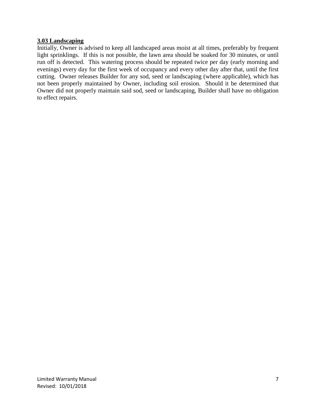# **3.03 Landscaping**

Initially, Owner is advised to keep all landscaped areas moist at all times, preferably by frequent light sprinklings. If this is not possible, the lawn area should be soaked for 30 minutes, or until run off is detected. This watering process should be repeated twice per day (early morning and evenings) every day for the first week of occupancy and every other day after that, until the first cutting. Owner releases Builder for any sod, seed or landscaping (where applicable), which has not been properly maintained by Owner, including soil erosion. Should it be determined that Owner did not properly maintain said sod, seed or landscaping, Builder shall have no obligation to effect repairs.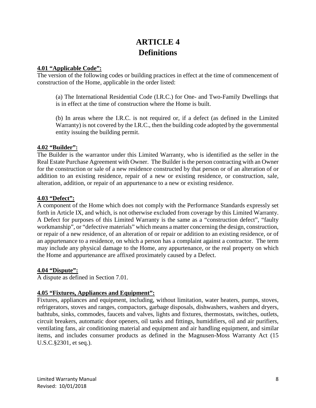# **ARTICLE 4 Definitions**

### **4.01 "Applicable Code":**

The version of the following codes or building practices in effect at the time of commencement of construction of the Home, applicable in the order listed:

(a) The International Residential Code (I.R.C.) for One- and Two-Family Dwellings that is in effect at the time of construction where the Home is built.

(b) In areas where the I.R.C. is not required or, if a defect (as defined in the Limited Warranty) is not covered by the I.R.C., then the building code adopted by the governmental entity issuing the building permit.

### **4.02 "Builder":**

The Builder is the warrantor under this Limited Warranty, who is identified as the seller in the Real Estate Purchase Agreement with Owner. The Builder is the person contracting with an Owner for the construction or sale of a new residence constructed by that person or of an alteration of or addition to an existing residence, repair of a new or existing residence, or construction, sale, alteration, addition, or repair of an appurtenance to a new or existing residence.

### **4.03 "Defect":**

A component of the Home which does not comply with the Performance Standards expressly set forth in Article IX, and which, is not otherwise excluded from coverage by this Limited Warranty. A Defect for purposes of this Limited Warranty is the same as a "construction defect", "faulty workmanship", or "defective materials" which means a matter concerning the design, construction, or repair of a new residence, of an alteration of or repair or addition to an existing residence, or of an appurtenance to a residence, on which a person has a complaint against a contractor. The term may include any physical damage to the Home, any appurtenance, or the real property on which the Home and appurtenance are affixed proximately caused by a Defect.

# **4.04 "Dispute":**

A dispute as defined in Section 7.01.

# **4.05 "Fixtures, Appliances and Equipment":**

Fixtures, appliances and equipment, including, without limitation, water heaters, pumps, stoves, refrigerators, stoves and ranges, compactors, garbage disposals, dishwashers, washers and dryers, bathtubs, sinks, commodes, faucets and valves, lights and fixtures, thermostats, switches, outlets, circuit breakers, automatic door openers, oil tanks and fittings, humidifiers, oil and air purifiers, ventilating fans, air conditioning material and equipment and air handling equipment, and similar items, and includes consumer products as defined in the Magnusen-Moss Warranty Act (15 U.S.C.§2301, et seq.).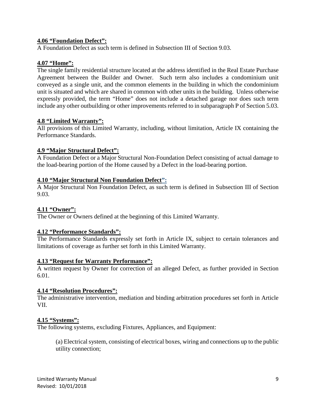# **4.06 "Foundation Defect":**

A Foundation Defect as such term is defined in Subsection III of Section 9.03.

### **4.07 "Home":**

The single family residential structure located at the address identified in the Real Estate Purchase Agreement between the Builder and Owner. Such term also includes a condominium unit conveyed as a single unit, and the common elements in the building in which the condominium unit is situated and which are shared in common with other units in the building. Unless otherwise expressly provided, the term "Home" does not include a detached garage nor does such term include any other outbuilding or other improvements referred to in subparagraph P of Section 5.03.

### **4.8 "Limited Warranty":**

All provisions of this Limited Warranty, including, without limitation, Article IX containing the Performance Standards.

### **4.9 "Major Structural Defect":**

A Foundation Defect or a Major Structural Non-Foundation Defect consisting of actual damage to the load-bearing portion of the Home caused by a Defect in the load-bearing portion.

### **4.10 "Major Structural Non Foundation Defect":**

A Major Structural Non Foundation Defect, as such term is defined in Subsection III of Section 9.03.

# **4.11 "Owner":**

The Owner or Owners defined at the beginning of this Limited Warranty.

### **4.12 "Performance Standards":**

The Performance Standards expressly set forth in Article IX, subject to certain tolerances and limitations of coverage as further set forth in this Limited Warranty.

### **4.13 "Request for Warranty Performance":**

A written request by Owner for correction of an alleged Defect, as further provided in Section 6.01.

### **4.14 "Resolution Procedures":**

The administrative intervention, mediation and binding arbitration procedures set forth in Article VII.

### **4.15 "Systems":**

The following systems, excluding Fixtures, Appliances, and Equipment:

(a) Electrical system, consisting of electrical boxes, wiring and connections up to the public utility connection;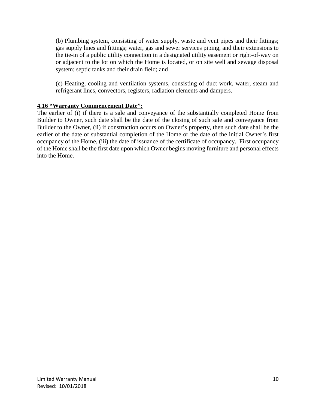(b) Plumbing system, consisting of water supply, waste and vent pipes and their fittings; gas supply lines and fittings; water, gas and sewer services piping, and their extensions to the tie-in of a public utility connection in a designated utility easement or right-of-way on or adjacent to the lot on which the Home is located, or on site well and sewage disposal system; septic tanks and their drain field; and

(c) Heating, cooling and ventilation systems, consisting of duct work, water, steam and refrigerant lines, convectors, registers, radiation elements and dampers.

# **4.16 "Warranty Commencement Date":**

The earlier of (i) if there is a sale and conveyance of the substantially completed Home from Builder to Owner, such date shall be the date of the closing of such sale and conveyance from Builder to the Owner, (ii) if construction occurs on Owner's property, then such date shall be the earlier of the date of substantial completion of the Home or the date of the initial Owner's first occupancy of the Home, (iii) the date of issuance of the certificate of occupancy. First occupancy of the Home shall be the first date upon which Owner begins moving furniture and personal effects into the Home.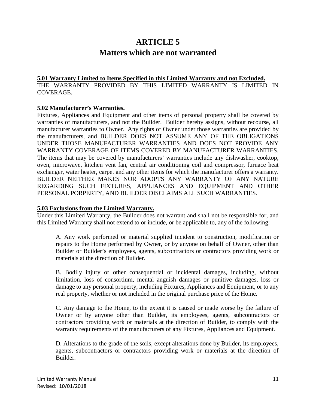# **ARTICLE 5 Matters which are not warranted**

# **5.01 Warranty Limited to Items Specified in this Limited Warranty and not Excluded.**

THE WARRANTY PROVIDED BY THIS LIMITED WARRANTY IS LIMITED IN COVERAGE.

# **5.02 Manufacturer's Warranties.**

Fixtures, Appliances and Equipment and other items of personal property shall be covered by warranties of manufacturers, and not the Builder. Builder hereby assigns, without recourse, all manufacturer warranties to Owner. Any rights of Owner under those warranties are provided by the manufacturers, and BUILDER DOES NOT ASSUME ANY OF THE OBLIGATIONS UNDER THOSE MANUFACTURER WARRANTIES AND DOES NOT PROVIDE ANY WARRANTY COVERAGE OF ITEMS COVERED BY MANUFACTURER WARRANTIES. The items that may be covered by manufacturers' warranties include any dishwasher, cooktop, oven, microwave, kitchen vent fan, central air conditioning coil and compressor, furnace heat exchanger, water heater, carpet and any other items for which the manufacturer offers a warranty. BUILDER NEITHER MAKES NOR ADOPTS ANY WARRANTY OF ANY NATURE REGARDING SUCH FIXTURES, APPLIANCES AND EQUIPMENT AND OTHER PERSONAL PORPERTY, AND BUILDER DISCLAIMS ALL SUCH WARRANTIES.

# **5.03 Exclusions from the Limited Warranty.**

Under this Limited Warranty, the Builder does not warrant and shall not be responsible for, and this Limited Warranty shall not extend to or include, or be applicable to, any of the following:

A. Any work performed or material supplied incident to construction, modification or repairs to the Home performed by Owner, or by anyone on behalf of Owner, other than Builder or Builder's employees, agents, subcontractors or contractors providing work or materials at the direction of Builder.

B. Bodily injury or other consequential or incidental damages, including, without limitation, loss of consortium, mental anguish damages or punitive damages, loss or damage to any personal property, including Fixtures, Appliances and Equipment, or to any real property, whether or not included in the original purchase price of the Home.

C. Any damage to the Home, to the extent it is caused or made worse by the failure of Owner or by anyone other than Builder, its employees, agents, subcontractors or contractors providing work or materials at the direction of Builder, to comply with the warranty requirements of the manufacturers of any Fixtures, Appliances and Equipment.

D. Alterations to the grade of the soils, except alterations done by Builder, its employees, agents, subcontractors or contractors providing work or materials at the direction of Builder.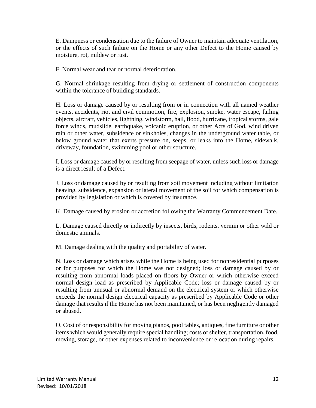E. Dampness or condensation due to the failure of Owner to maintain adequate ventilation, or the effects of such failure on the Home or any other Defect to the Home caused by moisture, rot, mildew or rust.

F. Normal wear and tear or normal deterioration.

G. Normal shrinkage resulting from drying or settlement of construction components within the tolerance of building standards.

H. Loss or damage caused by or resulting from or in connection with all named weather events, accidents, riot and civil commotion, fire, explosion, smoke, water escape, failing objects, aircraft, vehicles, lightning, windstorm, hail, flood, hurricane, tropical storms, gale force winds, mudslide, earthquake, volcanic eruption, or other Acts of God, wind driven rain or other water, subsidence or sinkholes, changes in the underground water table, or below ground water that exerts pressure on, seeps, or leaks into the Home, sidewalk, driveway, foundation, swimming pool or other structure.

I. Loss or damage caused by or resulting from seepage of water, unless such loss or damage is a direct result of a Defect.

J. Loss or damage caused by or resulting from soil movement including without limitation heaving, subsidence, expansion or lateral movement of the soil for which compensation is provided by legislation or which is covered by insurance.

K. Damage caused by erosion or accretion following the Warranty Commencement Date.

L. Damage caused directly or indirectly by insects, birds, rodents, vermin or other wild or domestic animals.

M. Damage dealing with the quality and portability of water.

N. Loss or damage which arises while the Home is being used for nonresidential purposes or for purposes for which the Home was not designed; loss or damage caused by or resulting from abnormal loads placed on floors by Owner or which otherwise exceed normal design load as prescribed by Applicable Code; loss or damage caused by or resulting from unusual or abnormal demand on the electrical system or which otherwise exceeds the normal design electrical capacity as prescribed by Applicable Code or other damage that results if the Home has not been maintained, or has been negligently damaged or abused.

O. Cost of or responsibility for moving pianos, pool tables, antiques, fine furniture or other items which would generally require special handling; costs of shelter, transportation, food, moving, storage, or other expenses related to inconvenience or relocation during repairs.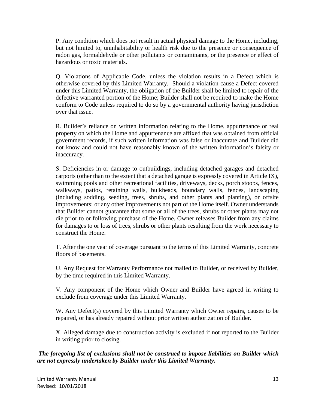P. Any condition which does not result in actual physical damage to the Home, including, but not limited to, uninhabitability or health risk due to the presence or consequence of radon gas, formaldehyde or other pollutants or contaminants, or the presence or effect of hazardous or toxic materials.

Q. Violations of Applicable Code, unless the violation results in a Defect which is otherwise covered by this Limited Warranty. Should a violation cause a Defect covered under this Limited Warranty, the obligation of the Builder shall be limited to repair of the defective warranted portion of the Home; Builder shall not be required to make the Home conform to Code unless required to do so by a governmental authority having jurisdiction over that issue.

R. Builder's reliance on written information relating to the Home, appurtenance or real property on which the Home and appurtenance are affixed that was obtained from official government records, if such written information was false or inaccurate and Builder did not know and could not have reasonably known of the written information's falsity or inaccuracy.

S. Deficiencies in or damage to outbuildings, including detached garages and detached carports (other than to the extent that a detached garage is expressly covered in Article IX), swimming pools and other recreational facilities, driveways, decks, porch stoops, fences, walkways, patios, retaining walls, bulkheads, boundary walls, fences, landscaping (including sodding, seeding, trees, shrubs, and other plants and planting), or offsite improvements; or any other improvements not part of the Home itself. Owner understands that Builder cannot guarantee that some or all of the trees, shrubs or other plants may not die prior to or following purchase of the Home. Owner releases Builder from any claims for damages to or loss of trees, shrubs or other plants resulting from the work necessary to construct the Home.

T. After the one year of coverage pursuant to the terms of this Limited Warranty, concrete floors of basements.

U. Any Request for Warranty Performance not mailed to Builder, or received by Builder, by the time required in this Limited Warranty.

V. Any component of the Home which Owner and Builder have agreed in writing to exclude from coverage under this Limited Warranty.

W. Any Defect(s) covered by this Limited Warranty which Owner repairs, causes to be repaired, or has already repaired without prior written authorization of Builder.

X. Alleged damage due to construction activity is excluded if not reported to the Builder in writing prior to closing.

*The foregoing list of exclusions shall not be construed to impose liabilities on Builder which are not expressly undertaken by Builder under this Limited Warranty.*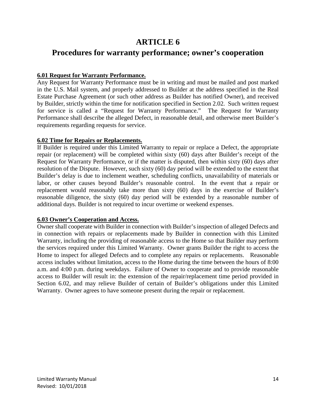# **ARTICLE 6**

# **Procedures for warranty performance; owner's cooperation**

# **6.01 Request for Warranty Performance.**

Any Request for Warranty Performance must be in writing and must be mailed and post marked in the U.S. Mail system, and properly addressed to Builder at the address specified in the Real Estate Purchase Agreement (or such other address as Builder has notified Owner), and received by Builder, strictly within the time for notification specified in Section 2.02. Such written request for service is called a "Request for Warranty Performance." The Request for Warranty Performance shall describe the alleged Defect, in reasonable detail, and otherwise meet Builder's requirements regarding requests for service.

# **6.02 Time for Repairs or Replacements.**

If Builder is required under this Limited Warranty to repair or replace a Defect, the appropriate repair (or replacement) will be completed within sixty (60) days after Builder's receipt of the Request for Warranty Performance, or if the matter is disputed, then within sixty (60) days after resolution of the Dispute. However, such sixty (60) day period will be extended to the extent that Builder's delay is due to inclement weather, scheduling conflicts, unavailability of materials or labor, or other causes beyond Builder's reasonable control. In the event that a repair or replacement would reasonably take more than sixty (60) days in the exercise of Builder's reasonable diligence, the sixty (60) day period will be extended by a reasonable number of additional days. Builder is not required to incur overtime or weekend expenses.

# **6.03 Owner's Cooperation and Access.**

Owner shall cooperate with Builder in connection with Builder's inspection of alleged Defects and in connection with repairs or replacements made by Builder in connection with this Limited Warranty, including the providing of reasonable access to the Home so that Builder may perform the services required under this Limited Warranty. Owner grants Builder the right to access the Home to inspect for alleged Defects and to complete any repairs or replacements. Reasonable access includes without limitation, access to the Home during the time between the hours of 8:00 a.m. and 4:00 p.m. during weekdays. Failure of Owner to cooperate and to provide reasonable access to Builder will result in: the extension of the repair/replacement time period provided in Section 6.02, and may relieve Builder of certain of Builder's obligations under this Limited Warranty. Owner agrees to have someone present during the repair or replacement.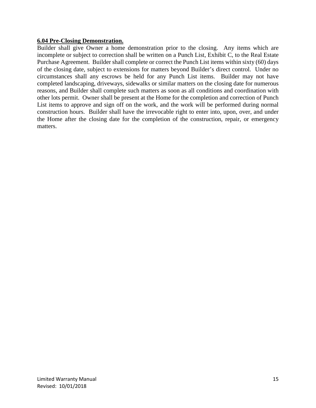### **6.04 Pre-Closing Demonstration.**

Builder shall give Owner a home demonstration prior to the closing. Any items which are incomplete or subject to correction shall be written on a Punch List, Exhibit C, to the Real Estate Purchase Agreement. Builder shall complete or correct the Punch List items within sixty (60) days of the closing date, subject to extensions for matters beyond Builder's direct control. Under no circumstances shall any escrows be held for any Punch List items. Builder may not have completed landscaping, driveways, sidewalks or similar matters on the closing date for numerous reasons, and Builder shall complete such matters as soon as all conditions and coordination with other lots permit. Owner shall be present at the Home for the completion and correction of Punch List items to approve and sign off on the work, and the work will be performed during normal construction hours. Builder shall have the irrevocable right to enter into, upon, over, and under the Home after the closing date for the completion of the construction, repair, or emergency matters.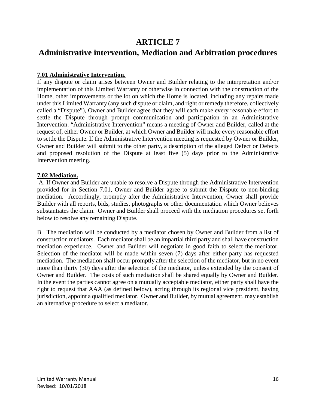# **ARTICLE 7**

# **Administrative intervention, Mediation and Arbitration procedures**

# **7.01 Administrative Intervention.**

If any dispute or claim arises between Owner and Builder relating to the interpretation and/or implementation of this Limited Warranty or otherwise in connection with the construction of the Home, other improvements or the lot on which the Home is located, including any repairs made under this Limited Warranty (any such dispute or claim, and right or remedy therefore, collectively called a "Dispute"), Owner and Builder agree that they will each make every reasonable effort to settle the Dispute through prompt communication and participation in an Administrative Intervention. "Administrative Intervention" means a meeting of Owner and Builder, called at the request of, either Owner or Builder, at which Owner and Builder will make every reasonable effort to settle the Dispute. If the Administrative Intervention meeting is requested by Owner or Builder, Owner and Builder will submit to the other party, a description of the alleged Defect or Defects and proposed resolution of the Dispute at least five (5) days prior to the Administrative Intervention meeting.

# **7.02 Mediation.**

A. If Owner and Builder are unable to resolve a Dispute through the Administrative Intervention provided for in Section 7.01, Owner and Builder agree to submit the Dispute to non-binding mediation. Accordingly, promptly after the Administrative Intervention, Owner shall provide Builder with all reports, bids, studies, photographs or other documentation which Owner believes substantiates the claim. Owner and Builder shall proceed with the mediation procedures set forth below to resolve any remaining Dispute.

B. The mediation will be conducted by a mediator chosen by Owner and Builder from a list of construction mediators. Each mediator shall be an impartial third party and shall have construction mediation experience. Owner and Builder will negotiate in good faith to select the mediator. Selection of the mediator will be made within seven (7) days after either party has requested mediation. The mediation shall occur promptly after the selection of the mediator, but in no event more than thirty (30) days after the selection of the mediator, unless extended by the consent of Owner and Builder. The costs of such mediation shall be shared equally by Owner and Builder. In the event the parties cannot agree on a mutually acceptable mediator, either party shall have the right to request that AAA (as defined below), acting through its regional vice president, having jurisdiction, appoint a qualified mediator. Owner and Builder, by mutual agreement, may establish an alternative procedure to select a mediator.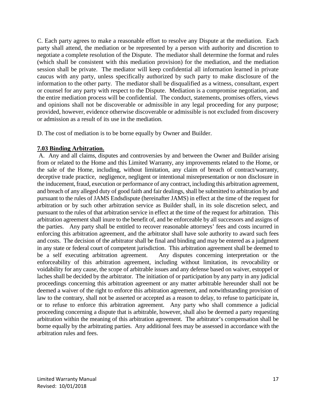C. Each party agrees to make a reasonable effort to resolve any Dispute at the mediation. Each party shall attend, the mediation or be represented by a person with authority and discretion to negotiate a complete resolution of the Dispute. The mediator shall determine the format and rules (which shall be consistent with this mediation provision) for the mediation, and the mediation session shall be private. The mediator will keep confidential all information learned in private caucus with any party, unless specifically authorized by such party to make disclosure of the information to the other party. The mediator shall be disqualified as a witness, consultant, expert or counsel for any party with respect to the Dispute. Mediation is a compromise negotiation, and the entire mediation process will be confidential. The conduct, statements, promises offers, views and opinions shall not be discoverable or admissible in any legal proceeding for any purpose; provided, however, evidence otherwise discoverable or admissible is not excluded from discovery or admission as a result of its use in the mediation.

D. The cost of mediation is to be borne equally by Owner and Builder.

# **7.03 Binding Arbitration.**

A. Any and all claims, disputes and controversies by and between the Owner and Builder arising from or related to the Home and this Limited Warranty, any improvements related to the Home, or the sale of the Home, including, without limitation, any claim of breach of contract/warranty, deceptive trade practice, negligence, negligent or intentional misrepresentation or non disclosure in the inducement, fraud, execution or performance of any contract, including this arbitration agreement, and breach of any alleged duty of good faith and fair dealings, shall be submitted to arbitration by and pursuant to the rules of JAMS Endsdispute (hereinafter JAMS) in effect at the time of the request for arbitration or by such other arbitration service as Builder shall, in its sole discretion select, and pursuant to the rules of that arbitration service in effect at the time of the request for arbitration. This arbitration agreement shall inure to the benefit of, and be enforceable by all successors and assigns of the parties. Any party shall be entitled to recover reasonable attorneys' fees and costs incurred in enforcing this arbitration agreement, and the arbitrator shall have sole authority to award such fees and costs. The decision of the arbitrator shall be final and binding and may be entered as a judgment in any state or federal court of competent jurisdiction. This arbitration agreement shall be deemed to be a self executing arbitration agreement. Any disputes concerning interpretation or the enforceability of this arbitration agreement, including without limitation, its revocability or voidability for any cause, the scope of arbitrable issues and any defense based on waiver, estoppel or laches shall be decided by the arbitrator. The initiation of or participation by any party in any judicial proceedings concerning this arbitration agreement or any matter arbitrable hereunder shall not be deemed a waiver of the right to enforce this arbitration agreement, and notwithstanding provision of law to the contrary, shall not be asserted or accepted as a reason to delay, to refuse to participate in, or to refuse to enforce this arbitration agreement. Any party who shall commence a judicial proceeding concerning a dispute that is arbitrable, however, shall also be deemed a party requesting arbitration within the meaning of this arbitration agreement. The arbitrator's compensation shall be borne equally by the arbitrating parties. Any additional fees may be assessed in accordance with the arbitration rules and fees.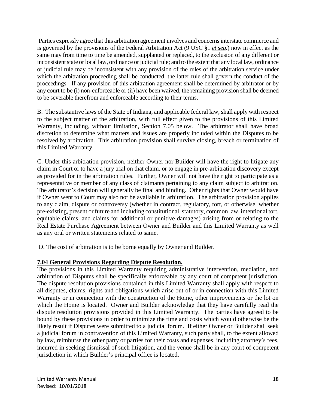Parties expressly agree that this arbitration agreement involves and concerns interstate commerce and is governed by the provisions of the Federal Arbitration Act (9 USC §1 *et seq.*) now in effect as the same may from time to time be amended, supplanted or replaced, to the exclusion of any different or inconsistent state or local law, ordinance or judicial rule; and to the extent that any local law, ordinance or judicial rule may be inconsistent with any provision of the rules of the arbitration service under which the arbitration proceeding shall be conducted, the latter rule shall govern the conduct of the proceedings. If any provision of this arbitration agreement shall be determined by arbitrator or by any court to be (i) non-enforceable or (ii) have been waived, the remaining provision shall be deemed to be severable therefrom and enforceable according to their terms.

B. The substantive laws of the State of Indiana, and applicable federal law, shall apply with respect to the subject matter of the arbitration, with full effect given to the provisions of this Limited Warranty, including, without limitation, Section 7.05 below. The arbitrator shall have broad discretion to determine what matters and issues are properly included within the Disputes to be resolved by arbitration. This arbitration provision shall survive closing, breach or termination of this Limited Warranty.

C. Under this arbitration provision, neither Owner nor Builder will have the right to litigate any claim in Court or to have a jury trial on that claim, or to engage in pre-arbitration discovery except as provided for in the arbitration rules. Further, Owner will not have the right to participate as a representative or member of any class of claimants pertaining to any claim subject to arbitration. The arbitrator's decision will generally be final and binding. Other rights that Owner would have if Owner went to Court may also not be available in arbitration. The arbitration provision applies to any claim, dispute or controversy (whether in contract, regulatory, tort, or otherwise, whether pre-existing, present or future and including constitutional, statutory, common law, intentional tort, equitable claims, and claims for additional or punitive damages) arising from or relating to the Real Estate Purchase Agreement between Owner and Builder and this Limited Warranty as well as any oral or written statements related to same.

D. The cost of arbitration is to be borne equally by Owner and Builder.

# **7.04 General Provisions Regarding Dispute Resolution.**

The provisions in this Limited Warranty requiring administrative intervention, mediation, and arbitration of Disputes shall be specifically enforceable by any court of competent jurisdiction. The dispute resolution provisions contained in this Limited Warranty shall apply with respect to all disputes, claims, rights and obligations which arise out of or in connection with this Limited Warranty or in connection with the construction of the Home, other improvements or the lot on which the Home is located. Owner and Builder acknowledge that they have carefully read the dispute resolution provisions provided in this Limited Warranty. The parties have agreed to be bound by these provisions in order to minimize the time and costs which would otherwise be the likely result if Disputes were submitted to a judicial forum. If either Owner or Builder shall seek a judicial forum in contravention of this Limited Warranty, such party shall, to the extent allowed by law, reimburse the other party or parties for their costs and expenses, including attorney's fees, incurred in seeking dismissal of such litigation, and the venue shall be in any court of competent jurisdiction in which Builder's principal office is located.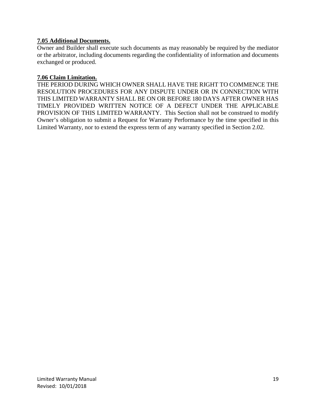# **7.05 Additional Documents.**

Owner and Builder shall execute such documents as may reasonably be required by the mediator or the arbitrator, including documents regarding the confidentiality of information and documents exchanged or produced.

# **7.06 Claim Limitation.**

THE PERIOD DURING WHICH OWNER SHALL HAVE THE RIGHT TO COMMENCE THE RESOLUTION PROCEDURES FOR ANY DISPUTE UNDER OR IN CONNECTION WITH THIS LIMITED WARRANTY SHALL BE ON OR BEFORE 180 DAYS AFTER OWNER HAS TIMELY PROVIDED WRITTEN NOTICE OF A DEFECT UNDER THE APPLICABLE PROVISION OF THIS LIMITED WARRANTY. This Section shall not be construed to modify Owner's obligation to submit a Request for Warranty Performance by the time specified in this Limited Warranty, nor to extend the express term of any warranty specified in Section 2.02.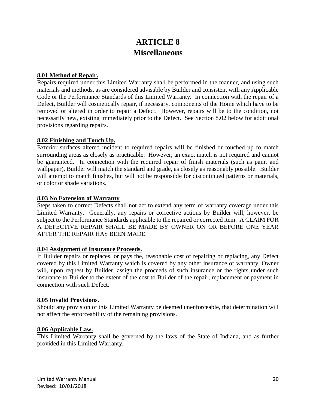# **ARTICLE 8 Miscellaneous**

### **8.01 Method of Repair.**

Repairs required under this Limited Warranty shall be performed in the manner, and using such materials and methods, as are considered advisable by Builder and consistent with any Applicable Code or the Performance Standards of this Limited Warranty. In connection with the repair of a Defect, Builder will cosmetically repair, if necessary, components of the Home which have to be removed or altered in order to repair a Defect. However, repairs will be to the condition, not necessarily new, existing immediately prior to the Defect. See Section 8.02 below for additional provisions regarding repairs.

### **8.02 Finishing and Touch Up.**

Exterior surfaces altered incident to required repairs will be finished or touched up to match surrounding areas as closely as practicable. However, an exact match is not required and cannot be guaranteed. In connection with the required repair of finish materials (such as paint and wallpaper), Builder will match the standard and grade, as closely as reasonably possible. Builder will attempt to match finishes, but will not be responsible for discontinued patterns or materials, or color or shade variations.

### **8.03 No Extension of Warranty**.

Steps taken to correct Defects shall not act to extend any term of warranty coverage under this Limited Warranty. Generally, any repairs or corrective actions by Builder will, however, be subject to the Performance Standards applicable to the repaired or corrected item. A CLAIM FOR A DEFECTIVE REPAIR SHALL BE MADE BY OWNER ON OR BEFORE ONE YEAR AFTER THE REPAIR HAS BEEN MADE.

### **8.04 Assignment of Insurance Proceeds.**

If Builder repairs or replaces, or pays the, reasonable cost of repairing or replacing, any Defect covered by this Limited Warranty which is covered by any other insurance or warranty, Owner will, upon request by Builder, assign the proceeds of such insurance or the rights under such insurance to Builder to the extent of the cost to Builder of the repair, replacement or payment in connection with such Defect.

### **8.05 Invalid Provisions.**

Should any provision of this Limited Warranty be deemed unenforceable, that determination will not affect the enforceability of the remaining provisions.

### **8.06 Applicable Law.**

This Limited Warranty shall be governed by the laws of the State of Indiana, and as further provided in this Limited Warranty.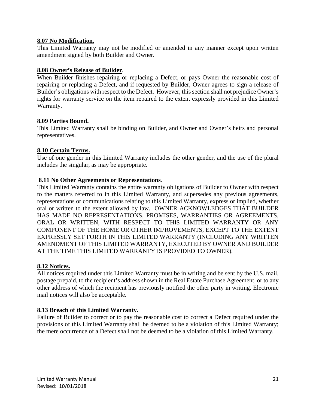# **8.07 No Modification.**

This Limited Warranty may not be modified or amended in any manner except upon written amendment signed by both Builder and Owner.

### **8.08 Owner's Release of Builder**.

When Builder finishes repairing or replacing a Defect, or pays Owner the reasonable cost of repairing or replacing a Defect, and if requested by Builder, Owner agrees to sign a release of Builder's obligations with respect to the Defect. However, this section shall not prejudice Owner's rights for warranty service on the item repaired to the extent expressly provided in this Limited Warranty.

### **8.09 Parties Bound.**

This Limited Warranty shall be binding on Builder, and Owner and Owner's heirs and personal representatives.

### **8.10 Certain Terms.**

Use of one gender in this Limited Warranty includes the other gender, and the use of the plural includes the singular, as may be appropriate.

### **8.11 No Other Agreements or Representations**.

This Limited Warranty contains the entire warranty obligations of Builder to Owner with respect to the matters referred to in this Limited Warranty, and supersedes any previous agreements, representations or communications relating to this Limited Warranty, express or implied, whether oral or written to the extent allowed by law. OWNER ACKNOWLEDGES THAT BUILDER HAS MADE NO REPRESENTATIONS, PROMISES, WARRANTIES OR AGREEMENTS, ORAL OR WRITTEN, WITH RESPECT TO THIS LIMITED WARRANTY OR ANY COMPONENT OF THE HOME OR OTHER IMPROVEMENTS, EXCEPT TO THE EXTENT EXPRESSLY SET FORTH IN THIS LIMITED WARRANTY (INCLUDING ANY WRITTEN AMENDMENT OF THIS LIMITED WARRANTY, EXECUTED BY OWNER AND BUILDER AT THE TIME THIS LIMITED WARRANTY IS PROVIDED TO OWNER).

### **8.12 Notices.**

All notices required under this Limited Warranty must be in writing and be sent by the U.S. mail, postage prepaid, to the recipient's address shown in the Real Estate Purchase Agreement, or to any other address of which the recipient has previously notified the other party in writing. Electronic mail notices will also be acceptable.

# **8.13 Breach of this Limited Warranty.**

Failure of Builder to correct or to pay the reasonable cost to correct a Defect required under the provisions of this Limited Warranty shall be deemed to be a violation of this Limited Warranty; the mere occurrence of a Defect shall not be deemed to be a violation of this Limited Warranty.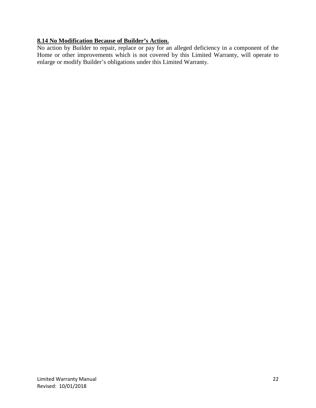# **8.14 No Modification Because of Builder's Action.**

No action by Builder to repair, replace or pay for an alleged deficiency in a component of the Home or other improvements which is not covered by this Limited Warranty, will operate to enlarge or modify Builder's obligations under this Limited Warranty.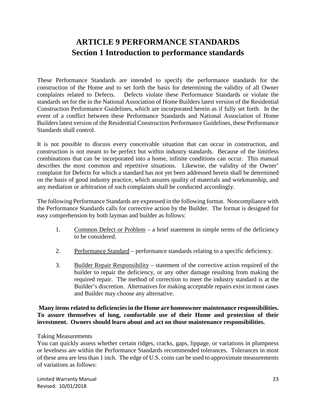# **ARTICLE 9 PERFORMANCE STANDARDS Section 1 Introduction to performance standards**

These Performance Standards are intended to specify the performance standards for the construction of the Home and to set forth the basis for determining the validity of all Owner complaints related to Defects. Defects violate these Performance Standards or violate the standards set for the in the National Association of Home Builders latest version of the Residential Construction Performance Guidelines, which are incorporated herein as if fully set forth. In the event of a conflict between these Performance Standards and National Association of Home Builders latest version of the Residential Construction Performance Guidelines, these Performance Standards shall control.

It is not possible to discuss every conceivable situation that can occur in construction, and construction is not meant to be perfect but within industry standards. Because of the limitless combinations that can be incorporated into a home, infinite conditions can occur. This manual describes the most common and repetitive situations. Likewise, the validity of the Owner' complaint for Defects for which a standard has not yet been addressed herein shall be determined on the basis of good industry practice, which assures quality of materials and workmanship, and any mediation or arbitration of such complaints shall be conducted accordingly.

The following Performance Standards are expressed in the following format. Noncompliance with the Performance Standards calls for corrective action by the Builder. The format is designed for easy comprehension by both layman and builder as follows:

- 1. Common Defect or Problem a brief statement in simple terms of the deficiency to be considered.
- 2. Performance Standard performance standards relating to a specific deficiency.
- 3. Builder Repair Responsibility statement of the corrective action required of the builder to repair the deficiency, or any other damage resulting from making the required repair. The method of correction to meet the industry standard is at the Builder's discretion. Alternatives for making acceptable repairs exist in most cases and Builder may choose any alternative.

### **Many items related to deficiencies in the Home are homeowner maintenance responsibilities. To assure themselves of long, comfortable use of their Home and protection of their investment. Owners should learn about and act on those maintenance responsibilities.**

### Taking Measurements

You can quickly assess whether certain ridges, cracks, gaps, lippage, or variations in plumpness or levelness are within the Performance Standards recommended tolerances. Tolerances in most of these area are less than 1 inch. The edge of U.S. coins can be used to approximate measurements of variations as follows: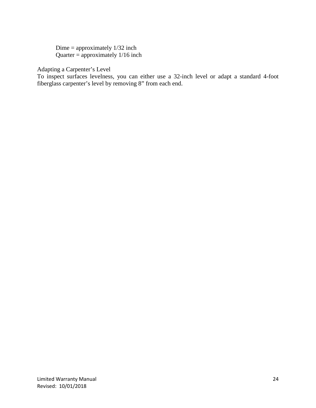Dime = approximately  $1/32$  inch Quarter = approximately  $1/16$  inch

Adapting a Carpenter's Level

To inspect surfaces levelness, you can either use a 32-inch level or adapt a standard 4-foot fiberglass carpenter's level by removing 8" from each end.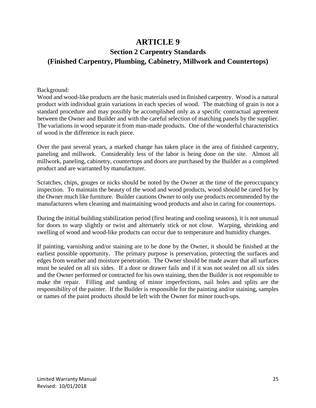# **ARTICLE 9**

# **Section 2 Carpentry Standards (Finished Carpentry, Plumbing, Cabinetry, Millwork and Countertops)**

### Background:

Wood and wood-like products are the basic materials used in finished carpentry. Wood is a natural product with individual grain variations in each species of wood. The matching of grain is not a standard procedure and may possibly be accomplished only as a specific contractual agreement between the Owner and Builder and with the careful selection of matching panels by the supplier. The variations in wood separate it from man-made products. One of the wonderful characteristics of wood is the difference in each piece.

Over the past several years, a marked change has taken place in the area of finished carpentry, paneling and millwork. Considerably less of the labor is being done on the site. Almost all millwork, paneling, cabinetry, countertops and doors are purchased by the Builder as a completed product and are warranted by manufacturer.

Scratches, chips, gouges or nicks should be noted by the Owner at the time of the preoccupancy inspection. To maintain the beauty of the wood and wood products, wood should be cared for by the Owner much like furniture. Builder cautions Owner to only use products recommended by the manufacturers when cleaning and maintaining wood products and also in caring for countertops.

During the initial building stabilization period (first heating and cooling seasons), it is not unusual for doors to warp slightly or twist and alternately stick or not close. Warping, shrinking and swelling of wood and wood-like products can occur due to temperature and humidity changes.

If painting, varnishing and/or staining are to be done by the Owner, it should be finished at the earliest possible opportunity. The primary purpose is preservation, protecting the surfaces and edges from weather and moisture penetration. The Owner should be made aware that all surfaces must be sealed on all six sides. If a door or drawer fails and if it was not sealed on all six sides and the Owner performed or contracted for his own staining, then the Builder is not responsible to make the repair. Filling and sanding of minor imperfections, nail holes and splits are the responsibility of the painter. If the Builder is responsible for the painting and/or staining, samples or names of the paint products should be left with the Owner for minor touch-ups.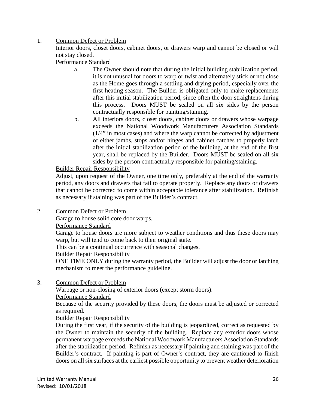# 1. Common Defect or Problem

Interior doors, closet doors, cabinet doors, or drawers warp and cannot be closed or will not stay closed.

Performance Standard

- a. The Owner should note that during the initial building stabilization period, it is not unusual for doors to warp or twist and alternately stick or not close as the Home goes through a settling and drying period, especially over the first heating season. The Builder is obligated only to make replacements after this initial stabilization period, since often the door straightens during this process. Doors MUST be sealed on all six sides by the person contractually responsible for painting/staining.
- b. All interiors doors, closet doors, cabinet doors or drawers whose warpage exceeds the National Woodwork Manufacturers Association Standards (1/4" in most cases) and where the warp cannot be corrected by adjustment of either jambs, stops and/or hinges and cabinet catches to properly latch after the initial stabilization period of the building, at the end of the first year, shall be replaced by the Builder. Doors MUST be sealed on all six sides by the person contractually responsible for painting/staining.

# Builder Repair Responsibility

Adjust, upon request of the Owner, one time only, preferably at the end of the warranty period, any doors and drawers that fail to operate properly. Replace any doors or drawers that cannot be corrected to come within acceptable tolerance after stabilization. Refinish as necessary if staining was part of the Builder's contract.

2. Common Defect or Problem

Garage to house solid core door warps.

# Performance Standard

Garage to house doors are more subject to weather conditions and thus these doors may warp, but will tend to come back to their original state.

This can be a continual occurrence with seasonal changes.

Builder Repair Responsibility

ONE TIME ONLY during the warranty period, the Builder will adjust the door or latching mechanism to meet the performance guideline.

3. Common Defect or Problem

Warpage or non-closing of exterior doors (except storm doors).

Performance Standard

Because of the security provided by these doors, the doors must be adjusted or corrected as required.

Builder Repair Responsibility

During the first year, if the security of the building is jeopardized, correct as requested by the Owner to maintain the security of the building. Replace any exterior doors whose permanent warpage exceeds the National Woodwork Manufacturers Association Standards after the stabilization period. Refinish as necessary if painting and staining was part of the Builder's contract. If painting is part of Owner's contract, they are cautioned to finish doors on all six surfaces at the earliest possible opportunity to prevent weather deterioration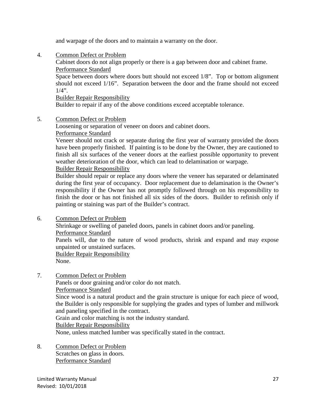and warpage of the doors and to maintain a warranty on the door.

4. Common Defect or Problem

Cabinet doors do not align properly or there is a gap between door and cabinet frame. Performance Standard

Space between doors where doors butt should not exceed 1/8". Top or bottom alignment should not exceed 1/16". Separation between the door and the frame should not exceed  $1/4$ ".

Builder Repair Responsibility

Builder to repair if any of the above conditions exceed acceptable tolerance.

5. Common Defect or Problem

Loosening or separation of veneer on doors and cabinet doors. Performance Standard

Veneer should not crack or separate during the first year of warranty provided the doors have been properly finished. If painting is to be done by the Owner, they are cautioned to finish all six surfaces of the veneer doors at the earliest possible opportunity to prevent weather deterioration of the door, which can lead to delamination or warpage. Builder Repair Responsibility

Builder should repair or replace any doors where the veneer has separated or delaminated during the first year of occupancy. Door replacement due to delamination is the Owner's responsibility if the Owner has not promptly followed through on his responsibility to finish the door or has not finished all six sides of the doors. Builder to refinish only if painting or staining was part of the Builder's contract.

6. Common Defect or Problem

Shrinkage or swelling of paneled doors, panels in cabinet doors and/or paneling.

Performance Standard

Panels will, due to the nature of wood products, shrink and expand and may expose unpainted or unstained surfaces.

Builder Repair Responsibility None.

7. Common Defect or Problem

Panels or door graining and/or color do not match. Performance Standard Since wood is a natural product and the grain structure is unique for each piece of wood, the Builder is only responsible for supplying the grades and types of lumber and millwork and paneling specified in the contract. Grain and color matching is not the industry standard. Builder Repair Responsibility

None, unless matched lumber was specifically stated in the contract.

8. Common Defect or Problem Scratches on glass in doors. Performance Standard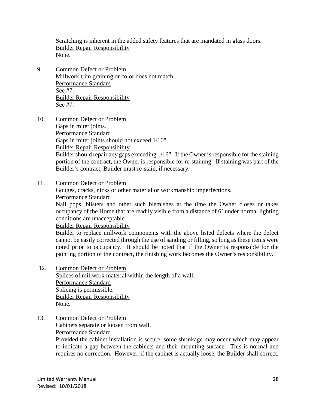Scratching is inherent in the added safety features that are mandated in glass doors. Builder Repair Responsibility None.

- 9. Common Defect or Problem Millwork trim graining or color does not match. Performance Standard See #7. Builder Repair Responsibility See #7.
- 10. Common Defect or Problem Gaps in miter joints. Performance Standard Gaps in miter joints should not exceed  $1/16$ ". Builder Repair Responsibility Builder should repair any gaps exceeding 1/16". If the Owner is responsible for the staining portion of the contract, the Owner is responsible for re-staining. If staining was part of the Builder's contract, Builder must re-stain, if necessary.
- 11. Common Defect or Problem

Gouges, cracks, nicks or other material or workmanship imperfections.

Performance Standard

Nail pops, blisters and other such blemishes at the time the Owner closes or takes occupancy of the Home that are readily visible from a distance of 6' under normal lighting conditions are unacceptable.

Builder Repair Responsibility

Builder to replace millwork components with the above listed defects where the defect cannot be easily corrected through the use of sanding or filling, so long as these items were noted prior to occupancy. It should be noted that if the Owner is responsible for the painting portion of the contract, the finishing work becomes the Owner's responsibility.

12. Common Defect or Problem

Splices of millwork material within the length of a wall. Performance Standard Splicing is permissible. Builder Repair Responsibility None.

13. Common Defect or Problem

Cabinets separate or loosen from wall.

Performance Standard

Provided the cabinet installation is secure, some shrinkage may occur which may appear to indicate a gap between the cabinets and their mounting surface. This is normal and requires no correction. However, if the cabinet is actually loose, the Builder shall correct.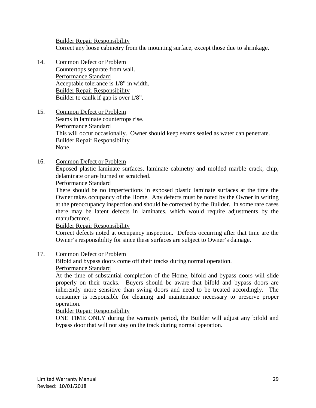Builder Repair Responsibility Correct any loose cabinetry from the mounting surface, except those due to shrinkage.

- 14. Common Defect or Problem Countertops separate from wall. Performance Standard Acceptable tolerance is 1/8" in width. Builder Repair Responsibility Builder to caulk if gap is over 1/8".
- 15. Common Defect or Problem Seams in laminate countertops rise. Performance Standard This will occur occasionally. Owner should keep seams sealed as water can penetrate. Builder Repair Responsibility None.
- 16. Common Defect or Problem

Exposed plastic laminate surfaces, laminate cabinetry and molded marble crack, chip, delaminate or are burned or scratched.

### Performance Standard

There should be no imperfections in exposed plastic laminate surfaces at the time the Owner takes occupancy of the Home. Any defects must be noted by the Owner in writing at the preoccupancy inspection and should be corrected by the Builder. In some rare cases there may be latent defects in laminates, which would require adjustments by the manufacturer.

### Builder Repair Responsibility

Correct defects noted at occupancy inspection. Defects occurring after that time are the Owner's responsibility for since these surfaces are subject to Owner's damage.

### 17. Common Defect or Problem

Bifold and bypass doors come off their tracks during normal operation.

### Performance Standard

At the time of substantial completion of the Home, bifold and bypass doors will slide properly on their tracks. Buyers should be aware that bifold and bypass doors are inherently more sensitive than swing doors and need to be treated accordingly. The consumer is responsible for cleaning and maintenance necessary to preserve proper operation.

### Builder Repair Responsibility

ONE TIME ONLY during the warranty period, the Builder will adjust any bifold and bypass door that will not stay on the track during normal operation.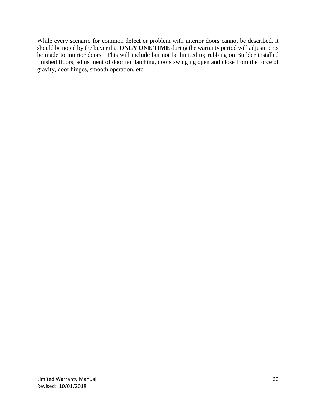While every scenario for common defect or problem with interior doors cannot be described, it should be noted by the buyer that **ONLY ONE TIME** during the warranty period will adjustments be made to interior doors. This will include but not be limited to; rubbing on Builder installed finished floors, adjustment of door not latching, doors swinging open and close from the force of gravity, door hinges, smooth operation, etc.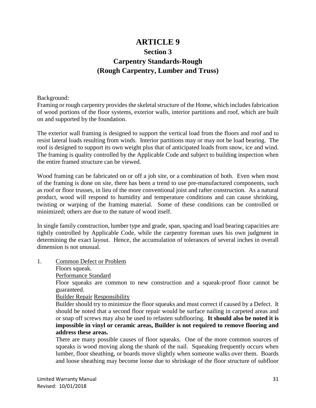# **ARTICLE 9 Section 3 Carpentry Standards-Rough (Rough Carpentry, Lumber and Truss)**

Background:

Framing or rough carpentry provides the skeletal structure of the Home, which includes fabrication of wood portions of the floor systems, exterior walls, interior partitions and roof, which are built on and supported by the foundation.

The exterior wall framing is designed to support the vertical load from the floors and roof and to resist lateral loads resulting from winds. Interior partitions may or may not be load bearing. The roof is designed to support its own weight plus that of anticipated loads from snow, ice and wind. The framing is quality controlled by the Applicable Code and subject to building inspection when the entire framed structure can be viewed.

Wood framing can be fabricated on or off a job site, or a combination of both. Even when most of the framing is done on site, there has been a trend to use pre-manufactured components, such as roof or floor trusses, in lieu of the more conventional joist and rafter construction. As a natural product, wood will respond to humidity and temperature conditions and can cause shrinking, twisting or warping of the framing material. Some of these conditions can be controlled or minimized; others are due to the nature of wood itself.

In single family construction, lumber type and grade, span, spacing and load bearing capacities are tightly controlled by Applicable Code, while the carpentry foreman uses his own judgment in determining the exact layout. Hence, the accumulation of tolerances of several inches in overall dimension is not unusual.

1. Common Defect or Problem

#### Floors squeak.

Performance Standard

Floor squeaks are common to new construction and a squeak-proof floor cannot be guaranteed.

Builder Repair Responsibility

Builder should try to minimize the floor squeaks and must correct if caused by a Defect. It should be noted that a second floor repair would be surface nailing in carpeted areas and or snap off screws may also be used to refasten subflooring. **It should also be noted it is impossible in vinyl or ceramic areas, Builder is not required to remove flooring and address these areas.**

There are many possible causes of floor squeaks. One of the more common sources of squeaks is wood moving along the shank of the nail. Squeaking frequently occurs when lumber, floor sheathing, or boards move slightly when someone walks over them. Boards and loose sheathing may become loose due to shrinkage of the floor structure of subfloor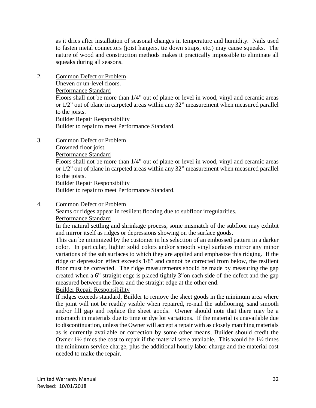as it dries after installation of seasonal changes in temperature and humidity. Nails used to fasten metal connectors (joist hangers, tie down straps, etc.) may cause squeaks. The nature of wood and construction methods makes it practically impossible to eliminate all squeaks during all seasons.

2. Common Defect or Problem

Uneven or un-level floors. Performance Standard Floors shall not be more than 1/4" out of plane or level in wood, vinyl and ceramic areas or 1/2" out of plane in carpeted areas within any 32" measurement when measured parallel to the joists. Builder Repair Responsibility Builder to repair to meet Performance Standard.

3. Common Defect or Problem

Crowned floor joist.

Performance Standard

Floors shall not be more than 1/4" out of plane or level in wood, vinyl and ceramic areas or 1/2" out of plane in carpeted areas within any 32" measurement when measured parallel to the joists.

Builder Repair Responsibility

Builder to repair to meet Performance Standard.

### 4. Common Defect or Problem

Seams or ridges appear in resilient flooring due to subfloor irregularities. Performance Standard

In the natural settling and shrinkage process, some mismatch of the subfloor may exhibit and mirror itself as ridges or depressions showing on the surface goods.

This can be minimized by the customer in his selection of an embossed pattern in a darker color. In particular, lighter solid colors and/or smooth vinyl surfaces mirror any minor variations of the sub surfaces to which they are applied and emphasize this ridging. If the ridge or depression effect exceeds 1/8" and cannot be corrected from below, the resilient floor must be corrected. The ridge measurements should be made by measuring the gap created when a 6" straight edge is placed tightly 3"on each side of the defect and the gap measured between the floor and the straight edge at the other end.

## Builder Repair Responsibility

If ridges exceeds standard, Builder to remove the sheet goods in the minimum area where the joint will not be readily visible when repaired, re-nail the subflooring, sand smooth and/or fill gap and replace the sheet goods. Owner should note that there may be a mismatch in materials due to time or dye lot variations. If the material is unavailable due to discontinuation, unless the Owner will accept a repair with as closely matching materials as is currently available or correction by some other means, Builder should credit the Owner  $1\frac{1}{2}$  times the cost to repair if the material were available. This would be  $1\frac{1}{2}$  times the minimum service charge, plus the additional hourly labor charge and the material cost needed to make the repair.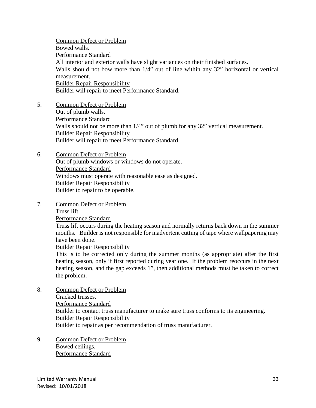Common Defect or Problem Bowed walls. Performance Standard All interior and exterior walls have slight variances on their finished surfaces. Walls should not bow more than  $1/4$ " out of line within any 32" horizontal or vertical measurement. Builder Repair Responsibility Builder will repair to meet Performance Standard.

- 5. Common Defect or Problem Out of plumb walls. Performance Standard Walls should not be more than 1/4" out of plumb for any 32" vertical measurement. Builder Repair Responsibility Builder will repair to meet Performance Standard.
- 6. Common Defect or Problem

Out of plumb windows or windows do not operate. Performance Standard Windows must operate with reasonable ease as designed. Builder Repair Responsibility Builder to repair to be operable.

7. Common Defect or Problem

Truss lift.

Performance Standard

Truss lift occurs during the heating season and normally returns back down in the summer months. Builder is not responsible for inadvertent cutting of tape where wallpapering may have been done.

Builder Repair Responsibility

This is to be corrected only during the summer months (as appropriate) after the first heating season, only if first reported during year one. If the problem reoccurs in the next heating season, and the gap exceeds 1", then additional methods must be taken to correct the problem.

8. Common Defect or Problem

Cracked trusses. Performance Standard Builder to contact truss manufacturer to make sure truss conforms to its engineering. Builder Repair Responsibility Builder to repair as per recommendation of truss manufacturer.

9. Common Defect or Problem Bowed ceilings. Performance Standard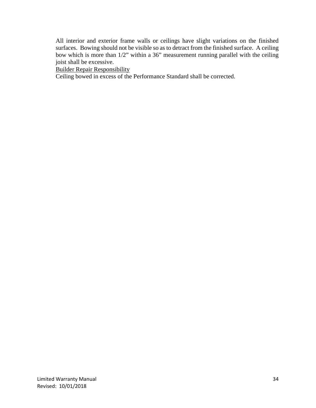All interior and exterior frame walls or ceilings have slight variations on the finished surfaces. Bowing should not be visible so as to detract from the finished surface. A ceiling bow which is more than 1/2" within a 36" measurement running parallel with the ceiling joist shall be excessive.

Builder Repair Responsibility

Ceiling bowed in excess of the Performance Standard shall be corrected.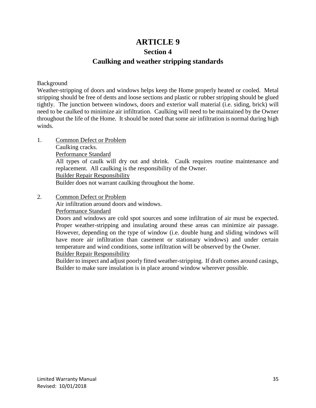# **ARTICLE 9 Section 4 Caulking and weather stripping standards**

#### Background

Weather-stripping of doors and windows helps keep the Home properly heated or cooled. Metal stripping should be free of dents and loose sections and plastic or rubber stripping should be glued tightly. The junction between windows, doors and exterior wall material (i.e. siding, brick) will need to be caulked to minimize air infiltration. Caulking will need to be maintained by the Owner throughout the life of the Home. It should be noted that some air infiltration is normal during high winds.

- 1. Common Defect or Problem
	- Caulking cracks.

Performance Standard

All types of caulk will dry out and shrink. Caulk requires routine maintenance and replacement. All caulking is the responsibility of the Owner.

Builder Repair Responsibility

Builder does not warrant caulking throughout the home.

#### 2. Common Defect or Problem

Air infiltration around doors and windows.

Performance Standard

Doors and windows are cold spot sources and some infiltration of air must be expected. Proper weather-stripping and insulating around these areas can minimize air passage. However, depending on the type of window (i.e. double hung and sliding windows will have more air infiltration than casement or stationary windows) and under certain temperature and wind conditions, some infiltration will be observed by the Owner. Builder Repair Responsibility

Builder to inspect and adjust poorly fitted weather-stripping. If draft comes around casings, Builder to make sure insulation is in place around window wherever possible.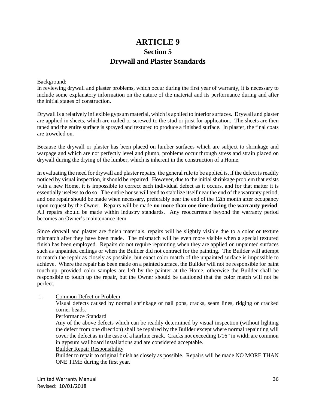## **ARTICLE 9 Section 5 Drywall and Plaster Standards**

Background:

In reviewing drywall and plaster problems, which occur during the first year of warranty, it is necessary to include some explanatory information on the nature of the material and its performance during and after the initial stages of construction.

Drywall is a relatively inflexible gypsum material, which is applied to interior surfaces. Drywall and plaster are applied in sheets, which are nailed or screwed to the stud or joist for application. The sheets are then taped and the entire surface is sprayed and textured to produce a finished surface. In plaster, the final coats are troweled on.

Because the drywall or plaster has been placed on lumber surfaces which are subject to shrinkage and warpage and which are not perfectly level and plumb, problems occur through stress and strain placed on drywall during the drying of the lumber, which is inherent in the construction of a Home.

In evaluating the need for drywall and plaster repairs, the general rule to be applied is, if the defect is readily noticed by visual inspection, it should be repaired. However, due to the initial shrinkage problem that exists with a new Home, it is impossible to correct each individual defect as it occurs, and for that matter it is essentially useless to do so. The entire house will tend to stabilize itself near the end of the warranty period, and one repair should be made when necessary, preferably near the end of the 12th month after occupancy upon request by the Owner. Repairs will be made **no more than one time during the warranty period**. All repairs should be made within industry standards. Any reoccurrence beyond the warranty period becomes an Owner's maintenance item.

Since drywall and plaster are finish materials, repairs will be slightly visible due to a color or texture mismatch after they have been made. The mismatch will be even more visible when a special textured finish has been employed. Repairs do not require repainting when they are applied on unpainted surfaces such as unpainted ceilings or when the Builder did not contract for the painting. The Builder will attempt to match the repair as closely as possible, but exact color match of the unpainted surface is impossible to achieve. Where the repair has been made on a painted surface, the Builder will not be responsible for paint touch-up, provided color samples are left by the painter at the Home, otherwise the Builder shall be responsible to touch up the repair, but the Owner should be cautioned that the color match will not be perfect.

#### 1. Common Defect or Problem

Visual defects caused by normal shrinkage or nail pops, cracks, seam lines, ridging or cracked corner beads.

#### Performance Standard

Any of the above defects which can be readily determined by visual inspection (without lighting the defect from one direction) shall be repaired by the Builder except where normal repainting will cover the defect as in the case of a hairline crack. Cracks not exceeding 1/16" in width are common in gypsum wallboard installations and are considered acceptable.

#### Builder Repair Responsibility

Builder to repair to original finish as closely as possible. Repairs will be made NO MORE THAN ONE TIME during the first year.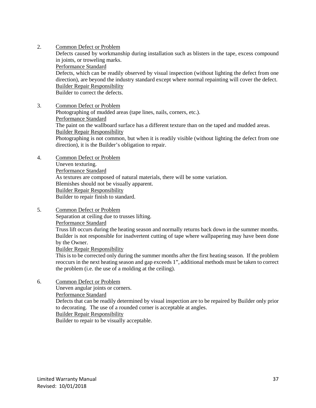Defects caused by workmanship during installation such as blisters in the tape, excess compound in joints, or troweling marks.

Performance Standard

Defects, which can be readily observed by visual inspection (without lighting the defect from one direction), are beyond the industry standard except where normal repainting will cover the defect. Builder Repair Responsibility

Builder to correct the defects.

3. Common Defect or Problem Photographing of mudded areas (tape lines, nails, corners, etc.). Performance Standard

The paint on the wallboard surface has a different texture than on the taped and mudded areas. Builder Repair Responsibility

Photographing is not common, but when it is readily visible (without lighting the defect from one direction), it is the Builder's obligation to repair.

- 4. Common Defect or Problem Uneven texturing. Performance Standard As textures are composed of natural materials, there will be some variation. Blemishes should not be visually apparent. Builder Repair Responsibility Builder to repair finish to standard.
- 5. Common Defect or Problem

Separation at ceiling due to trusses lifting.

Performance Standard

Truss lift occurs during the heating season and normally returns back down in the summer months. Builder is not responsible for inadvertent cutting of tape where wallpapering may have been done by the Owner.

Builder Repair Responsibility

This is to be corrected only during the summer months after the first heating season. If the problem reoccurs in the next heating season and gap exceeds 1", additional methods must be taken to correct the problem (i.e. the use of a molding at the ceiling).

6. Common Defect or Problem

Uneven angular joints or corners.

Performance Standard

Defects that can be readily determined by visual inspection are to be repaired by Builder only prior to decorating. The use of a rounded corner is acceptable at angles.

Builder Repair Responsibility

Builder to repair to be visually acceptable.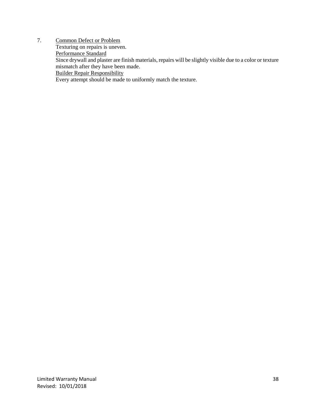7. Common Defect or Problem Texturing on repairs is uneven. Performance Standard Since drywall and plaster are finish materials, repairs will be slightly visible due to a color or texture mismatch after they have been made. Builder Repair Responsibility Every attempt should be made to uniformly match the texture.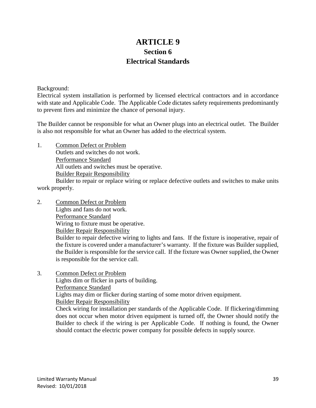# **ARTICLE 9 Section 6 Electrical Standards**

Background:

Electrical system installation is performed by licensed electrical contractors and in accordance with state and Applicable Code. The Applicable Code dictates safety requirements predominantly to prevent fires and minimize the chance of personal injury.

The Builder cannot be responsible for what an Owner plugs into an electrical outlet. The Builder is also not responsible for what an Owner has added to the electrical system.

1. Common Defect or Problem

Outlets and switches do not work. Performance Standard

All outlets and switches must be operative.

Builder Repair Responsibility

Builder to repair or replace wiring or replace defective outlets and switches to make units work properly.

2. Common Defect or Problem

Lights and fans do not work.

Performance Standard

Wiring to fixture must be operative.

Builder Repair Responsibility

Builder to repair defective wiring to lights and fans. If the fixture is inoperative, repair of the fixture is covered under a manufacturer's warranty. If the fixture was Builder supplied, the Builder is responsible for the service call. If the fixture was Owner supplied, the Owner is responsible for the service call.

3. Common Defect or Problem

Lights dim or flicker in parts of building.

Performance Standard

Lights may dim or flicker during starting of some motor driven equipment.

Builder Repair Responsibility

Check wiring for installation per standards of the Applicable Code. If flickering/dimming does not occur when motor driven equipment is turned off, the Owner should notify the Builder to check if the wiring is per Applicable Code. If nothing is found, the Owner should contact the electric power company for possible defects in supply source.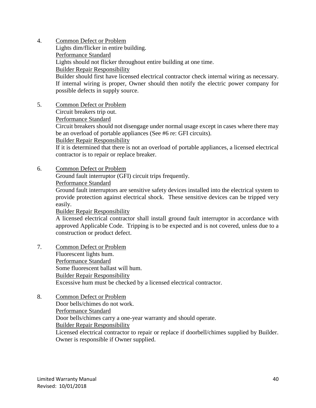- 4. Common Defect or Problem Lights dim/flicker in entire building. Performance Standard Lights should not flicker throughout entire building at one time. Builder Repair Responsibility Builder should first have licensed electrical contractor check internal wiring as necessary. If internal wiring is proper, Owner should then notify the electric power company for possible defects in supply source.
- 5. Common Defect or Problem Circuit breakers trip out. Performance Standard Circuit breakers should not disengage under normal usage except in cases where there may be an overload of portable appliances (See #6 re: GFI circuits). Builder Repair Responsibility

If it is determined that there is not an overload of portable appliances, a licensed electrical contractor is to repair or replace breaker.

6. Common Defect or Problem

Ground fault interruptor (GFI) circuit trips frequently.

Performance Standard

Ground fault interruptors are sensitive safety devices installed into the electrical system to provide protection against electrical shock. These sensitive devices can be tripped very easily.

Builder Repair Responsibility

A licensed electrical contractor shall install ground fault interruptor in accordance with approved Applicable Code. Tripping is to be expected and is not covered, unless due to a construction or product defect.

- 7. Common Defect or Problem Fluorescent lights hum. Performance Standard Some fluorescent ballast will hum. Builder Repair Responsibility Excessive hum must be checked by a licensed electrical contractor.
- 8. Common Defect or Problem Door bells/chimes do not work. Performance Standard Door bells/chimes carry a one-year warranty and should operate. Builder Repair Responsibility Licensed electrical contractor to repair or replace if doorbell/chimes supplied by Builder. Owner is responsible if Owner supplied.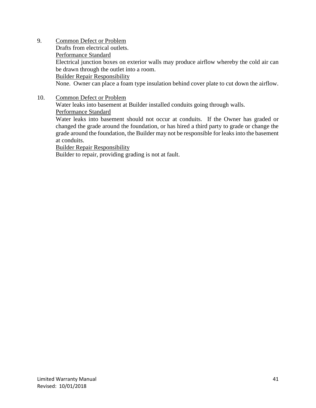- 9. Common Defect or Problem Drafts from electrical outlets. Performance Standard Electrical junction boxes on exterior walls may produce airflow whereby the cold air can be drawn through the outlet into a room. Builder Repair Responsibility None. Owner can place a foam type insulation behind cover plate to cut down the airflow.
- 10. Common Defect or Problem

Water leaks into basement at Builder installed conduits going through walls.

Performance Standard

Water leaks into basement should not occur at conduits. If the Owner has graded or changed the grade around the foundation, or has hired a third party to grade or change the grade around the foundation, the Builder may not be responsible for leaks into the basement at conduits.

Builder Repair Responsibility

Builder to repair, providing grading is not at fault.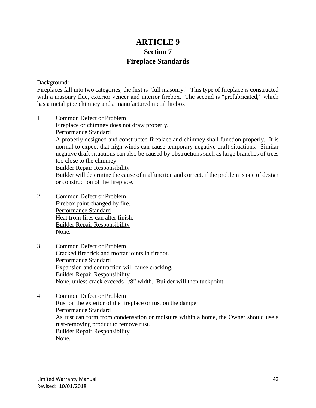# **ARTICLE 9 Section 7 Fireplace Standards**

Background:

Fireplaces fall into two categories, the first is "full masonry." This type of fireplace is constructed with a masonry flue, exterior veneer and interior firebox. The second is "prefabricated," which has a metal pipe chimney and a manufactured metal firebox.

1. Common Defect or Problem

Fireplace or chimney does not draw properly. Performance Standard A properly designed and constructed fireplace and chimney shall function properly. It is normal to expect that high winds can cause temporary negative draft situations. Similar negative draft situations can also be caused by obstructions such as large branches of trees too close to the chimney.

Builder Repair Responsibility

Builder will determine the cause of malfunction and correct, if the problem is one of design or construction of the fireplace.

- 2. Common Defect or Problem Firebox paint changed by fire. Performance Standard Heat from fires can alter finish. Builder Repair Responsibility None.
- 3. Common Defect or Problem Cracked firebrick and mortar joints in firepot. Performance Standard Expansion and contraction will cause cracking. Builder Repair Responsibility None, unless crack exceeds 1/8" width. Builder will then tuckpoint.
- 4. Common Defect or Problem Rust on the exterior of the fireplace or rust on the damper. Performance Standard As rust can form from condensation or moisture within a home, the Owner should use a rust-removing product to remove rust. Builder Repair Responsibility None.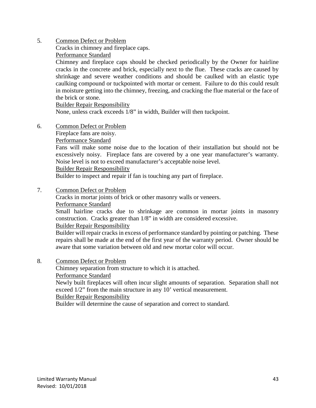Cracks in chimney and fireplace caps.

Performance Standard

Chimney and fireplace caps should be checked periodically by the Owner for hairline cracks in the concrete and brick, especially next to the flue. These cracks are caused by shrinkage and severe weather conditions and should be caulked with an elastic type caulking compound or tuckpointed with mortar or cement. Failure to do this could result in moisture getting into the chimney, freezing, and cracking the flue material or the face of the brick or stone.

#### Builder Repair Responsibility

None, unless crack exceeds 1/8" in width, Builder will then tuckpoint.

6. Common Defect or Problem

Fireplace fans are noisy.

Performance Standard

Fans will make some noise due to the location of their installation but should not be excessively noisy. Fireplace fans are covered by a one year manufacturer's warranty. Noise level is not to exceed manufacturer's acceptable noise level.

#### Builder Repair Responsibility

Builder to inspect and repair if fan is touching any part of fireplace.

7. Common Defect or Problem

Cracks in mortar joints of brick or other masonry walls or veneers.

Performance Standard

Small hairline cracks due to shrinkage are common in mortar joints in masonry construction. Cracks greater than 1/8" in width are considered excessive.

Builder Repair Responsibility

Builder will repair cracks in excess of performance standard by pointing or patching. These repairs shall be made at the end of the first year of the warranty period. Owner should be aware that some variation between old and new mortar color will occur.

8. Common Defect or Problem

Chimney separation from structure to which it is attached. Performance Standard Newly built fireplaces will often incur slight amounts of separation. Separation shall not exceed  $1/2$ " from the main structure in any 10' vertical measurement. Builder Repair Responsibility

Builder will determine the cause of separation and correct to standard.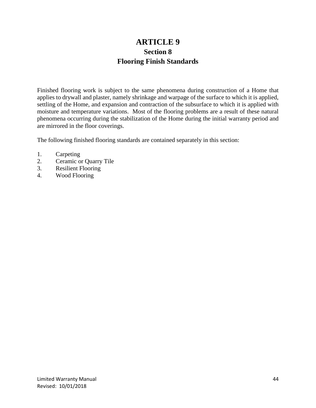# **ARTICLE 9 Section 8 Flooring Finish Standards**

Finished flooring work is subject to the same phenomena during construction of a Home that applies to drywall and plaster, namely shrinkage and warpage of the surface to which it is applied, settling of the Home, and expansion and contraction of the subsurface to which it is applied with moisture and temperature variations. Most of the flooring problems are a result of these natural phenomena occurring during the stabilization of the Home during the initial warranty period and are mirrored in the floor coverings.

The following finished flooring standards are contained separately in this section:

- 1. Carpeting
- 2. Ceramic or Quarry Tile
- 3. Resilient Flooring
- 4. Wood Flooring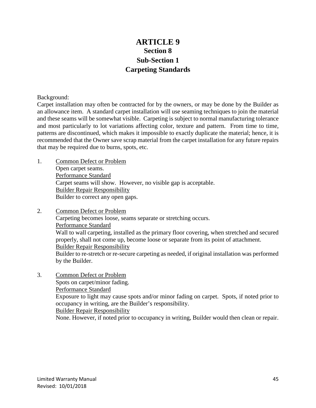# **ARTICLE 9 Section 8 Sub-Section 1 Carpeting Standards**

Background:

Carpet installation may often be contracted for by the owners, or may be done by the Builder as an allowance item. A standard carpet installation will use seaming techniques to join the material and these seams will be somewhat visible. Carpeting is subject to normal manufacturing tolerance and most particularly to lot variations affecting color, texture and pattern. From time to time, patterns are discontinued, which makes it impossible to exactly duplicate the material; hence, it is recommended that the Owner save scrap material from the carpet installation for any future repairs that may be required due to burns, spots, etc.

- 1. Common Defect or Problem Open carpet seams. Performance Standard Carpet seams will show. However, no visible gap is acceptable. Builder Repair Responsibility Builder to correct any open gaps.
- 2. Common Defect or Problem Carpeting becomes loose, seams separate or stretching occurs. Performance Standard Wall to wall carpeting, installed as the primary floor covering, when stretched and secured properly, shall not come up, become loose or separate from its point of attachment. Builder Repair Responsibility Builder to re-stretch or re-secure carpeting as needed, if original installation was performed by the Builder.
- 3. Common Defect or Problem Spots on carpet/minor fading. Performance Standard Exposure to light may cause spots and/or minor fading on carpet. Spots, if noted prior to occupancy in writing, are the Builder's responsibility. Builder Repair Responsibility None. However, if noted prior to occupancy in writing, Builder would then clean or repair.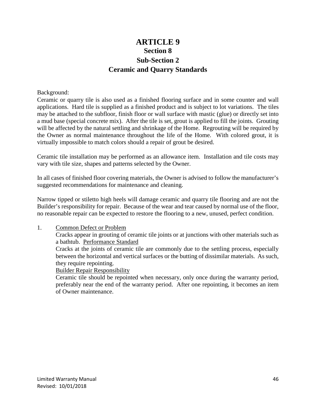## **ARTICLE 9 Section 8 Sub-Section 2 Ceramic and Quarry Standards**

#### Background:

Ceramic or quarry tile is also used as a finished flooring surface and in some counter and wall applications. Hard tile is supplied as a finished product and is subject to lot variations. The tiles may be attached to the subfloor, finish floor or wall surface with mastic (glue) or directly set into a mud base (special concrete mix). After the tile is set, grout is applied to fill the joints. Grouting will be affected by the natural settling and shrinkage of the Home. Regrouting will be required by the Owner as normal maintenance throughout the life of the Home. With colored grout, it is virtually impossible to match colors should a repair of grout be desired.

Ceramic tile installation may be performed as an allowance item. Installation and tile costs may vary with tile size, shapes and patterns selected by the Owner.

In all cases of finished floor covering materials, the Owner is advised to follow the manufacturer's suggested recommendations for maintenance and cleaning.

Narrow tipped or stiletto high heels will damage ceramic and quarry tile flooring and are not the Builder's responsibility for repair. Because of the wear and tear caused by normal use of the floor, no reasonable repair can be expected to restore the flooring to a new, unused, perfect condition.

### 1. Common Defect or Problem

Cracks appear in grouting of ceramic tile joints or at junctions with other materials such as a bathtub. Performance Standard

Cracks at the joints of ceramic tile are commonly due to the settling process, especially between the horizontal and vertical surfaces or the butting of dissimilar materials. As such, they require repointing.

Builder Repair Responsibility

Ceramic tile should be repointed when necessary, only once during the warranty period, preferably near the end of the warranty period. After one repointing, it becomes an item of Owner maintenance.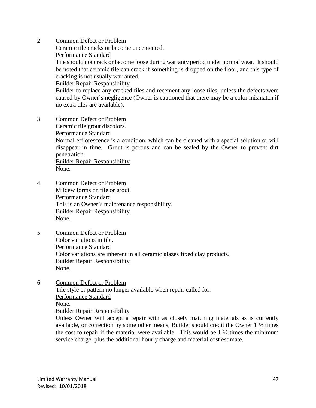Ceramic tile cracks or become uncemented.

Performance Standard

Tile should not crack or become loose during warranty period under normal wear. It should be noted that ceramic tile can crack if something is dropped on the floor, and this type of cracking is not usually warranted.

Builder Repair Responsibility

Builder to replace any cracked tiles and recement any loose tiles, unless the defects were caused by Owner's negligence (Owner is cautioned that there may be a color mismatch if no extra tiles are available).

3. Common Defect or Problem

Ceramic tile grout discolors.

Performance Standard

Normal efflorescence is a condition, which can be cleaned with a special solution or will disappear in time. Grout is porous and can be sealed by the Owner to prevent dirt penetration.

Builder Repair Responsibility None.

- 4. Common Defect or Problem Mildew forms on tile or grout. Performance Standard This is an Owner's maintenance responsibility. Builder Repair Responsibility None.
- 5. Common Defect or Problem Color variations in tile. Performance Standard Color variations are inherent in all ceramic glazes fixed clay products. Builder Repair Responsibility None.
- 6. Common Defect or Problem

Tile style or pattern no longer available when repair called for. Performance Standard None. Builder Repair Responsibility

Unless Owner will accept a repair with as closely matching materials as is currently available, or correction by some other means, Builder should credit the Owner 1 ½ times the cost to repair if the material were available. This would be  $1 \frac{1}{2}$  times the minimum service charge, plus the additional hourly charge and material cost estimate.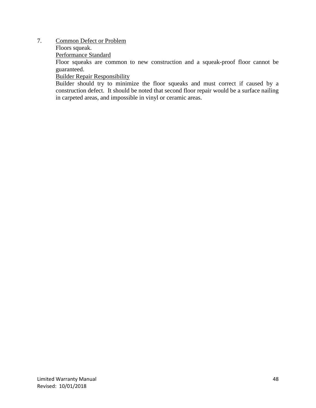Floors squeak.

Performance Standard

Floor squeaks are common to new construction and a squeak-proof floor cannot be guaranteed.

Builder Repair Responsibility

Builder should try to minimize the floor squeaks and must correct if caused by a construction defect. It should be noted that second floor repair would be a surface nailing in carpeted areas, and impossible in vinyl or ceramic areas.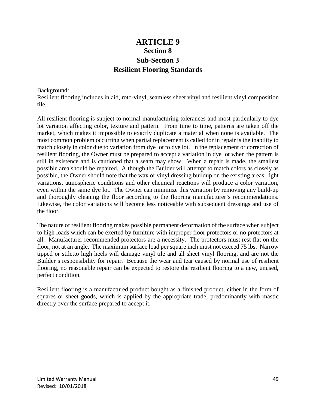## **ARTICLE 9 Section 8 Sub-Section 3 Resilient Flooring Standards**

#### Background:

Resilient flooring includes inlaid, roto-vinyl, seamless sheet vinyl and resilient vinyl composition tile.

All resilient flooring is subject to normal manufacturing tolerances and most particularly to dye lot variation affecting color, texture and pattern. From time to time, patterns are taken off the market, which makes it impossible to exactly duplicate a material when none is available. The most common problem occurring when partial replacement is called for in repair is the inability to match closely in color due to variation from dye lot to dye lot. In the replacement or correction of resilient flooring, the Owner must be prepared to accept a variation in dye lot when the pattern is still in existence and is cautioned that a seam may show. When a repair is made, the smallest possible area should be repaired. Although the Builder will attempt to match colors as closely as possible, the Owner should note that the wax or vinyl dressing buildup on the existing areas, light variations, atmospheric conditions and other chemical reactions will produce a color variation, even within the same dye lot. The Owner can minimize this variation by removing any build-up and thoroughly cleaning the floor according to the flooring manufacturer's recommendations. Likewise, the color variations will become less noticeable with subsequent dressings and use of the floor.

The nature of resilient flooring makes possible permanent deformation of the surface when subject to high loads which can be exerted by furniture with improper floor protectors or no protectors at all. Manufacturer recommended protectors are a necessity. The protectors must rest flat on the floor, not at an angle. The maximum surface load per square inch must not exceed 75 lbs. Narrow tipped or stiletto high heels will damage vinyl tile and all sheet vinyl flooring, and are not the Builder's responsibility for repair. Because the wear and tear caused by normal use of resilient flooring, no reasonable repair can be expected to restore the resilient flooring to a new, unused, perfect condition.

Resilient flooring is a manufactured product bought as a finished product, either in the form of squares or sheet goods, which is applied by the appropriate trade; predominantly with mastic directly over the surface prepared to accept it.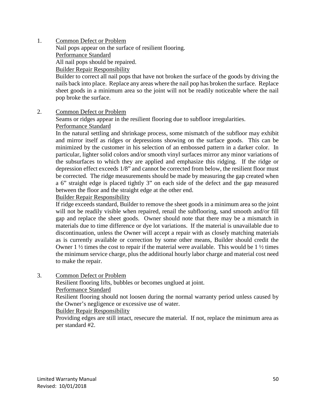- 1. Common Defect or Problem Nail pops appear on the surface of resilient flooring. Performance Standard All nail pops should be repaired. Builder Repair Responsibility Builder to correct all nail pops that have not broken the surface of the goods by driving the nails back into place. Replace any areas where the nail pop has broken the surface. Replace sheet goods in a minimum area so the joint will not be readily noticeable where the nail
- 2. Common Defect or Problem

pop broke the surface.

Seams or ridges appear in the resilient flooring due to subfloor irregularities. Performance Standard

In the natural settling and shrinkage process, some mismatch of the subfloor may exhibit and mirror itself as ridges or depressions showing on the surface goods. This can be minimized by the customer in his selection of an embossed pattern in a darker color. In particular, lighter solid colors and/or smooth vinyl surfaces mirror any minor variations of the subsurfaces to which they are applied and emphasize this ridging. If the ridge or depression effect exceeds 1/8" and cannot be corrected from below, the resilient floor must be corrected. The ridge measurements should be made by measuring the gap created when a 6" straight edge is placed tightly 3" on each side of the defect and the gap measured between the floor and the straight edge at the other end.

Builder Repair Responsibility

If ridge exceeds standard, Builder to remove the sheet goods in a minimum area so the joint will not be readily visible when repaired, renail the subflooring, sand smooth and/or fill gap and replace the sheet goods. Owner should note that there may be a mismatch in materials due to time difference or dye lot variations. If the material is unavailable due to discontinuation, unless the Owner will accept a repair with as closely matching materials as is currently available or correction by some other means, Builder should credit the Owner  $1\frac{1}{2}$  times the cost to repair if the material were available. This would be  $1\frac{1}{2}$  times the minimum service charge, plus the additional hourly labor charge and material cost need to make the repair.

3. Common Defect or Problem

Resilient flooring lifts, bubbles or becomes unglued at joint.

Performance Standard

Resilient flooring should not loosen during the normal warranty period unless caused by the Owner's negligence or excessive use of water.

### Builder Repair Responsibility

Providing edges are still intact, resecure the material. If not, replace the minimum area as per standard #2.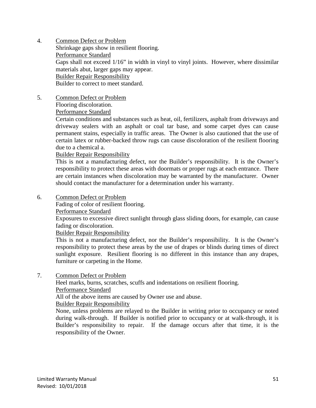- 4. Common Defect or Problem Shrinkage gaps show in resilient flooring. Performance Standard Gaps shall not exceed 1/16" in width in vinyl to vinyl joints. However, where dissimilar materials abut, larger gaps may appear. Builder Repair Responsibility Builder to correct to meet standard.
- 5. Common Defect or Problem

Flooring discoloration.

Performance Standard

Certain conditions and substances such as heat, oil, fertilizers, asphalt from driveways and driveway sealers with an asphalt or coal tar base, and some carpet dyes can cause permanent stains, especially in traffic areas. The Owner is also cautioned that the use of certain latex or rubber-backed throw rugs can cause discoloration of the resilient flooring due to a chemical a.

Builder Repair Responsibility

This is not a manufacturing defect, nor the Builder's responsibility. It is the Owner's responsibility to protect these areas with doormats or proper rugs at each entrance. There are certain instances when discoloration may be warranted by the manufacturer. Owner should contact the manufacturer for a determination under his warranty.

6. Common Defect or Problem

Fading of color of resilient flooring.

Performance Standard

Exposures to excessive direct sunlight through glass sliding doors, for example, can cause fading or discoloration.

Builder Repair Responsibility

This is not a manufacturing defect, nor the Builder's responsibility. It is the Owner's responsibility to protect these areas by the use of drapes or blinds during times of direct sunlight exposure. Resilient flooring is no different in this instance than any drapes, furniture or carpeting in the Home.

7. Common Defect or Problem

Heel marks, burns, scratches, scuffs and indentations on resilient flooring. Performance Standard All of the above items are caused by Owner use and abuse.

Builder Repair Responsibility

None, unless problems are relayed to the Builder in writing prior to occupancy or noted during walk-through. If Builder is notified prior to occupancy or at walk-through, it is Builder's responsibility to repair. If the damage occurs after that time, it is the responsibility of the Owner.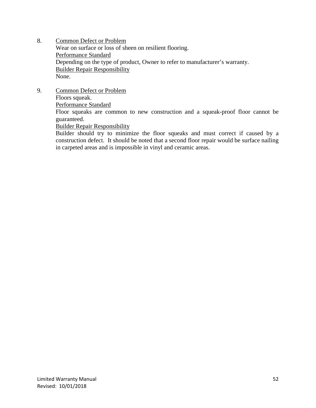- 8. Common Defect or Problem Wear on surface or loss of sheen on resilient flooring. Performance Standard Depending on the type of product, Owner to refer to manufacturer's warranty. Builder Repair Responsibility None.
- 9. Common Defect or Problem Floors squeak. Performance Standard

Floor squeaks are common to new construction and a squeak-proof floor cannot be guaranteed.

Builder Repair Responsibility

Builder should try to minimize the floor squeaks and must correct if caused by a construction defect. It should be noted that a second floor repair would be surface nailing in carpeted areas and is impossible in vinyl and ceramic areas.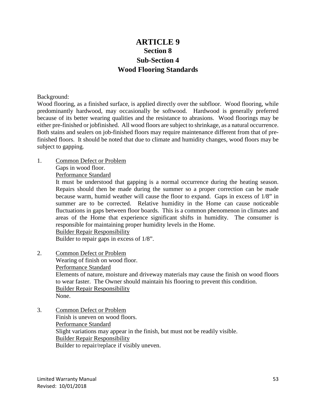## **ARTICLE 9 Section 8 Sub-Section 4 Wood Flooring Standards**

Background:

Wood flooring, as a finished surface, is applied directly over the subfloor. Wood flooring, while predominantly hardwood, may occasionally be softwood. Hardwood is generally preferred because of its better wearing qualities and the resistance to abrasions. Wood floorings may be either pre-finished or jobfinished. All wood floors are subject to shrinkage, as a natural occurrence. Both stains and sealers on job-finished floors may require maintenance different from that of prefinished floors. It should be noted that due to climate and humidity changes, wood floors may be subject to gapping.

1. Common Defect or Problem

Gaps in wood floor.

Performance Standard

It must be understood that gapping is a normal occurrence during the heating season. Repairs should then be made during the summer so a proper correction can be made because warm, humid weather will cause the floor to expand. Gaps in excess of 1/8" in summer are to be corrected. Relative humidity in the Home can cause noticeable fluctuations in gaps between floor boards. This is a common phenomenon in climates and areas of the Home that experience significant shifts in humidity. The consumer is responsible for maintaining proper humidity levels in the Home.

Builder Repair Responsibility Builder to repair gaps in excess of 1/8".

- 2. Common Defect or Problem Wearing of finish on wood floor. Performance Standard Elements of nature, moisture and driveway materials may cause the finish on wood floors to wear faster. The Owner should maintain his flooring to prevent this condition. Builder Repair Responsibility None.
- 3. Common Defect or Problem Finish is uneven on wood floors. Performance Standard Slight variations may appear in the finish, but must not be readily visible. Builder Repair Responsibility Builder to repair/replace if visibly uneven.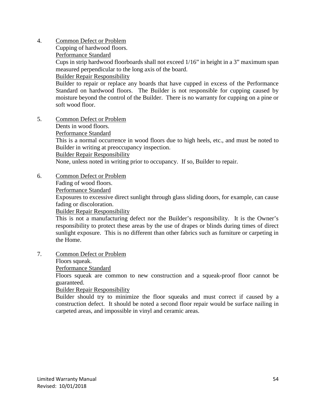Cupping of hardwood floors.

Performance Standard

Cups in strip hardwood floorboards shall not exceed 1/16" in height in a 3" maximum span measured perpendicular to the long axis of the board.

Builder Repair Responsibility

Builder to repair or replace any boards that have cupped in excess of the Performance Standard on hardwood floors. The Builder is not responsible for cupping caused by moisture beyond the control of the Builder. There is no warranty for cupping on a pine or soft wood floor.

5. Common Defect or Problem

Dents in wood floors.

Performance Standard

This is a normal occurrence in wood floors due to high heels, etc., and must be noted to Builder in writing at preoccupancy inspection.

Builder Repair Responsibility

None, unless noted in writing prior to occupancy. If so, Builder to repair.

6. Common Defect or Problem

Fading of wood floors.

Performance Standard

Exposures to excessive direct sunlight through glass sliding doors, for example, can cause fading or discoloration.

Builder Repair Responsibility

This is not a manufacturing defect nor the Builder's responsibility. It is the Owner's responsibility to protect these areas by the use of drapes or blinds during times of direct sunlight exposure. This is no different than other fabrics such as furniture or carpeting in the Home.

7. Common Defect or Problem

Floors squeak.

Performance Standard

Floors squeak are common to new construction and a squeak-proof floor cannot be guaranteed.

Builder Repair Responsibility

Builder should try to minimize the floor squeaks and must correct if caused by a construction defect. It should be noted a second floor repair would be surface nailing in carpeted areas, and impossible in vinyl and ceramic areas.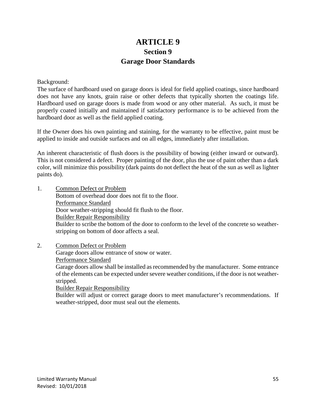## **ARTICLE 9 Section 9 Garage Door Standards**

#### Background:

The surface of hardboard used on garage doors is ideal for field applied coatings, since hardboard does not have any knots, grain raise or other defects that typically shorten the coatings life. Hardboard used on garage doors is made from wood or any other material. As such, it must be properly coated initially and maintained if satisfactory performance is to be achieved from the hardboard door as well as the field applied coating.

If the Owner does his own painting and staining, for the warranty to be effective, paint must be applied to inside and outside surfaces and on all edges, immediately after installation.

An inherent characteristic of flush doors is the possibility of bowing (either inward or outward). This is not considered a defect. Proper painting of the door, plus the use of paint other than a dark color, will minimize this possibility (dark paints do not deflect the heat of the sun as well as lighter paints do).

1. Common Defect or Problem Bottom of overhead door does not fit to the floor. Performance Standard Door weather-stripping should fit flush to the floor. Builder Repair Responsibility Builder to scribe the bottom of the door to conform to the level of the concrete so weatherstripping on bottom of door affects a seal.

2. Common Defect or Problem

Garage doors allow entrance of snow or water. Performance Standard

Garage doors allow shall be installed as recommended by the manufacturer. Some entrance of the elements can be expected under severe weather conditions, if the door is not weatherstripped.

### Builder Repair Responsibility

Builder will adjust or correct garage doors to meet manufacturer's recommendations. If weather-stripped, door must seal out the elements.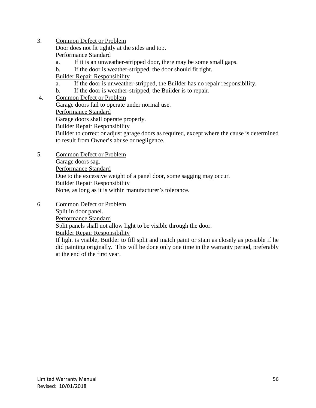Door does not fit tightly at the sides and top. Performance Standard

- a. If it is an unweather-stripped door, there may be some small gaps.
- b. If the door is weather-stripped, the door should fit tight.

Builder Repair Responsibility

- a. If the door is unweather-stripped, the Builder has no repair responsibility.
- b. If the door is weather-stripped, the Builder is to repair.
- 4. Common Defect or Problem

Garage doors fail to operate under normal use.

Performance Standard

Garage doors shall operate properly.

Builder Repair Responsibility

Builder to correct or adjust garage doors as required, except where the cause is determined to result from Owner's abuse or negligence.

5. Common Defect or Problem

Garage doors sag. Performance Standard Due to the excessive weight of a panel door, some sagging may occur. Builder Repair Responsibility None, as long as it is within manufacturer's tolerance.

6. Common Defect or Problem

Split in door panel.

Performance Standard

Split panels shall not allow light to be visible through the door.

Builder Repair Responsibility

If light is visible, Builder to fill split and match paint or stain as closely as possible if he did painting originally. This will be done only one time in the warranty period, preferably at the end of the first year.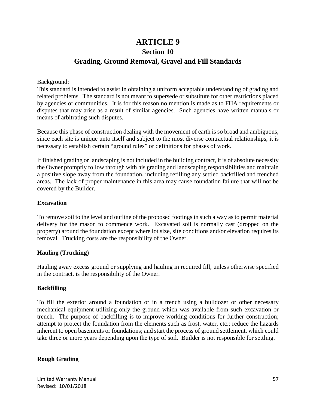# **ARTICLE 9 Section 10 Grading, Ground Removal, Gravel and Fill Standards**

#### Background:

This standard is intended to assist in obtaining a uniform acceptable understanding of grading and related problems. The standard is not meant to supersede or substitute for other restrictions placed by agencies or communities. It is for this reason no mention is made as to FHA requirements or disputes that may arise as a result of similar agencies. Such agencies have written manuals or means of arbitrating such disputes.

Because this phase of construction dealing with the movement of earth is so broad and ambiguous, since each site is unique unto itself and subject to the most diverse contractual relationships, it is necessary to establish certain "ground rules" or definitions for phases of work.

If finished grading or landscaping is not included in the building contract, it is of absolute necessity the Owner promptly follow through with his grading and landscaping responsibilities and maintain a positive slope away from the foundation, including refilling any settled backfilled and trenched areas. The lack of proper maintenance in this area may cause foundation failure that will not be covered by the Builder.

#### **Excavation**

To remove soil to the level and outline of the proposed footings in such a way as to permit material delivery for the mason to commence work. Excavated soil is normally cast (dropped on the property) around the foundation except where lot size, site conditions and/or elevation requires its removal. Trucking costs are the responsibility of the Owner.

#### **Hauling (Trucking)**

Hauling away excess ground or supplying and hauling in required fill, unless otherwise specified in the contract, is the responsibility of the Owner.

#### **Backfilling**

To fill the exterior around a foundation or in a trench using a bulldozer or other necessary mechanical equipment utilizing only the ground which was available from such excavation or trench. The purpose of backfilling is to improve working conditions for further construction; attempt to protect the foundation from the elements such as frost, water, etc.; reduce the hazards inherent to open basements or foundations; and start the process of ground settlement, which could take three or more years depending upon the type of soil. Builder is not responsible for settling.

#### **Rough Grading**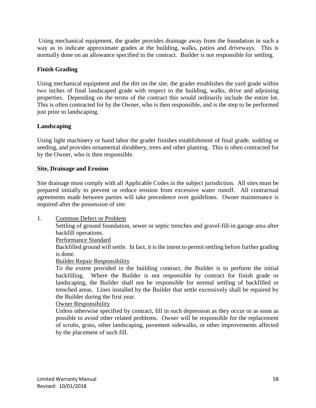Using mechanical equipment, the grader provides drainage away from the foundation in such a way as to indicate approximate grades at the building, walks, patios and driveways. This is normally done on an allowance specified in the contract. Builder is not responsible for settling.

### **Finish Grading**

Using mechanical equipment and the dirt on the site, the grader establishes the yard grade within two inches of final landscaped grade with respect to the building, walks, drive and adjoining properties. Depending on the terms of the contract this would ordinarily include the entire lot. This is often contracted for by the Owner, who is then responsible, and is the step to be performed just prior to landscaping.

### **Landscaping**

Using light machinery or hand labor the grader finishes establishment of final grade, sodding or seeding, and provides ornamental shrubbery, trees and other planting. This is often contracted for by the Owner, who is then responsible.

### **Site, Drainage and Erosion**

Site drainage must comply with all Applicable Codes in the subject jurisdiction. All sites must be prepared initially to prevent or reduce erosion from excessive water runoff. All contractual agreements made between parties will take precedence over guidelines. Owner maintenance is required after the possession of site.

1. Common Defect or Problem Settling of ground foundation, sewer or septic trenches and gravel-fill-in garage area after backfill operations. Performance Standard

Backfilled ground will settle. In fact, it is the intent to permit settling before further grading is done.

### Builder Repair Responsibility

To the extent provided in the building contract, the Builder is to perform the initial backfilling. Where the Builder is not responsible by contract for finish grade or landscaping, the Builder shall not be responsible for normal settling of backfilled or trenched areas. Lines installed by the Builder that settle excessively shall be repaired by the Builder during the first year.

### Owner Responsibility

Unless otherwise specified by contract, fill in such depression as they occur or as soon as possible to avoid other related problems. Owner will be responsible for the replacement of scrubs, grass, other landscaping, pavement sidewalks, or other improvements affected by the placement of such fill.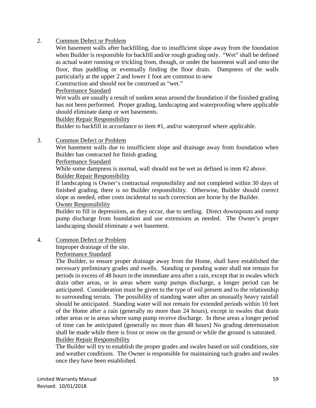Wet basement walls after backfilling, due to insufficient slope away from the foundation when Builder is responsible for backfill and/or rough grading only. "Wet" shall be defined as actual water running or trickling from, though, or under the basement wall and onto the floor, thus puddling or eventually finding the floor drain. Dampness of the walls particularly at the upper 2 and lower 1 foot are common to new

Construction and should not be construed as "wet."

### Performance Standard

Wet walls are usually a result of sunken areas around the foundation if the finished grading has not been performed. Proper grading, landscaping and waterproofing where applicable should eliminate damp or wet basements.

#### Builder Repair Responsibility

Builder to backfill in accordance to item #1, and/or waterproof where applicable.

#### 3. Common Defect or Problem

Wet basement walls due to insufficient slope and drainage away from foundation when Builder has contracted for finish grading.

#### Performance Standard

While some dampness is normal, wall should not be wet as defined in item #2 above. Builder Repair Responsibility

If landscaping is Owner's contractual responsibility and not completed within 30 days of finished grading, there is no Builder responsibility. Otherwise, Builder should correct slope as needed, other costs incidental to such correction are borne by the Builder. Owner Responsibility

Builder to fill in depressions, as they occur, due to settling. Direct downspouts and sump pump discharge from foundation and use extensions as needed. The Owner's proper landscaping should eliminate a wet basement.

4. Common Defect or Problem

Improper drainage of the site.

### Performance Standard

The Builder, to ensure proper drainage away from the Home, shall have established the necessary preliminary grades and swells. Standing or ponding water shall not remain for periods in excess of 48 hours in the immediate area after a rain, except that in swales which drain other areas, or in areas where sump pumps discharge, a longer period can be anticipated. Consideration must be given to the type of soil present and to the relationship to surrounding terrain. The possibility of standing water after an unusually heavy rainfall should be anticipated. Standing water will not remain for extended periods within 10 feet of the Home after a rain (generally no more than 24 hours), except in swales that drain other areas or in areas where sump pump receive discharge. In these areas a longer period of time can be anticipated (generally no more than 48 hours) No grading determination shall be made while there is frost or snow on the ground or while the ground is saturated. Builder Repair Responsibility

The Builder will try to establish the proper grades and swales based on soil conditions, site and weather conditions. The Owner is responsible for maintaining such grades and swales once they have been established.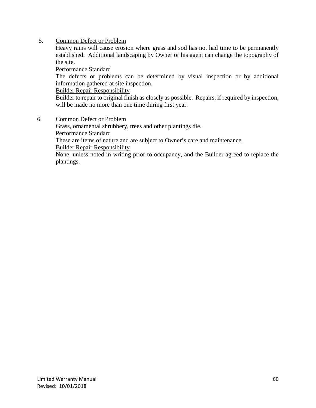Heavy rains will cause erosion where grass and sod has not had time to be permanently established. Additional landscaping by Owner or his agent can change the topography of the site.

Performance Standard

The defects or problems can be determined by visual inspection or by additional information gathered at site inspection.

### Builder Repair Responsibility

Builder to repair to original finish as closely as possible. Repairs, if required by inspection, will be made no more than one time during first year.

6. Common Defect or Problem

Grass, ornamental shrubbery, trees and other plantings die. Performance Standard These are items of nature and are subject to Owner's care and maintenance.

Builder Repair Responsibility

None, unless noted in writing prior to occupancy, and the Builder agreed to replace the plantings.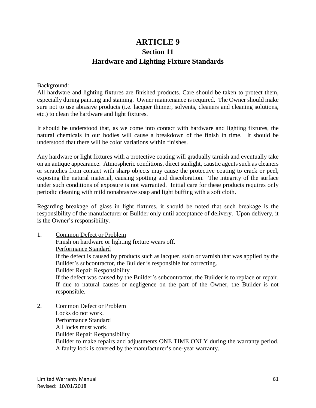# **ARTICLE 9 Section 11 Hardware and Lighting Fixture Standards**

#### Background:

All hardware and lighting fixtures are finished products. Care should be taken to protect them, especially during painting and staining. Owner maintenance is required. The Owner should make sure not to use abrasive products (i.e. lacquer thinner, solvents, cleaners and cleaning solutions, etc.) to clean the hardware and light fixtures.

It should be understood that, as we come into contact with hardware and lighting fixtures, the natural chemicals in our bodies will cause a breakdown of the finish in time. It should be understood that there will be color variations within finishes.

Any hardware or light fixtures with a protective coating will gradually tarnish and eventually take on an antique appearance. Atmospheric conditions, direct sunlight, caustic agents such as cleaners or scratches from contact with sharp objects may cause the protective coating to crack or peel, exposing the natural material, causing spotting and discoloration. The integrity of the surface under such conditions of exposure is not warranted. Initial care for these products requires only periodic cleaning with mild nonabrasive soap and light buffing with a soft cloth.

Regarding breakage of glass in light fixtures, it should be noted that such breakage is the responsibility of the manufacturer or Builder only until acceptance of delivery. Upon delivery, it is the Owner's responsibility.

- 1. Common Defect or Problem Finish on hardware or lighting fixture wears off. Performance Standard If the defect is caused by products such as lacquer, stain or varnish that was applied by the Builder's subcontractor, the Builder is responsible for correcting. Builder Repair Responsibility If the defect was caused by the Builder's subcontractor, the Builder is to replace or repair. If due to natural causes or negligence on the part of the Owner, the Builder is not responsible.
- 2. Common Defect or Problem Locks do not work. Performance Standard All locks must work. Builder Repair Responsibility Builder to make repairs and adjustments ONE TIME ONLY during the warranty period. A faulty lock is covered by the manufacturer's one-year warranty.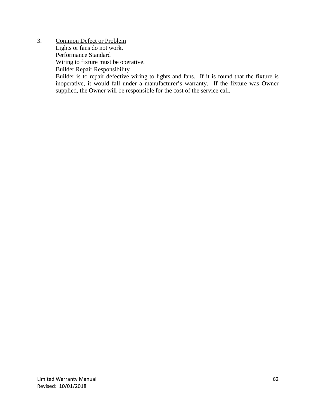3. Common Defect or Problem Lights or fans do not work. Performance Standard Wiring to fixture must be operative. Builder Repair Responsibility

Builder is to repair defective wiring to lights and fans. If it is found that the fixture is inoperative, it would fall under a manufacturer's warranty. If the fixture was Owner supplied, the Owner will be responsible for the cost of the service call.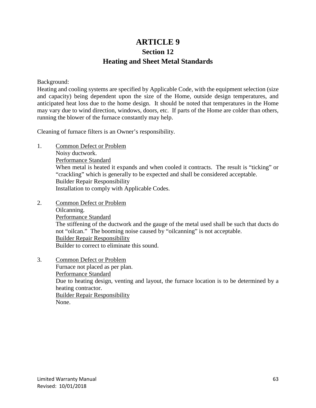## **ARTICLE 9 Section 12 Heating and Sheet Metal Standards**

#### Background:

Heating and cooling systems are specified by Applicable Code, with the equipment selection (size and capacity) being dependent upon the size of the Home, outside design temperatures, and anticipated heat loss due to the home design. It should be noted that temperatures in the Home may vary due to wind direction, windows, doors, etc. If parts of the Home are colder than others, running the blower of the furnace constantly may help.

Cleaning of furnace filters is an Owner's responsibility.

- 1. Common Defect or Problem Noisy ductwork. Performance Standard When metal is heated it expands and when cooled it contracts. The result is "ticking" or "crackling" which is generally to be expected and shall be considered acceptable. Builder Repair Responsibility Installation to comply with Applicable Codes.
- 2. Common Defect or Problem Oilcanning. Performance Standard The stiffening of the ductwork and the gauge of the metal used shall be such that ducts do not "oilcan." The booming noise caused by "oilcanning" is not acceptable. Builder Repair Responsibility Builder to correct to eliminate this sound.
- 3. Common Defect or Problem Furnace not placed as per plan. Performance Standard Due to heating design, venting and layout, the furnace location is to be determined by a heating contractor. Builder Repair Responsibility None.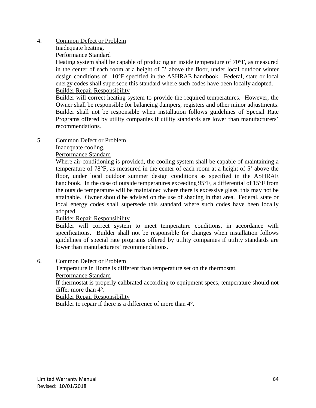Inadequate heating.

Performance Standard Heating system shall be capable of producing an inside temperature of 70°F, as measured in the center of each room at a height of 5' above the floor, under local outdoor winter design conditions of –10°F specified in the ASHRAE handbook. Federal, state or local energy codes shall supersede this standard where such codes have been locally adopted.

## Builder Repair Responsibility

Builder will correct heating system to provide the required temperatures. However, the Owner shall be responsible for balancing dampers, registers and other minor adjustments. Builder shall not be responsible when installation follows guidelines of Special Rate Programs offered by utility companies if utility standards are lower than manufacturers' recommendations.

## 5. Common Defect or Problem

Inadequate cooling.

## Performance Standard

Where air-conditioning is provided, the cooling system shall be capable of maintaining a temperature of 78°F, as measured in the center of each room at a height of 5' above the floor, under local outdoor summer design conditions as specified in the ASHRAE handbook. In the case of outside temperatures exceeding 95°F, a differential of 15°F from the outside temperature will be maintained where there is excessive glass, this may not be attainable. Owner should be advised on the use of shading in that area. Federal, state or local energy codes shall supersede this standard where such codes have been locally adopted.

## Builder Repair Responsibility

Builder will correct system to meet temperature conditions, in accordance with specifications. Builder shall not be responsible for changes when installation follows guidelines of special rate programs offered by utility companies if utility standards are lower than manufacturers' recommendations.

## 6. Common Defect or Problem

Temperature in Home is different than temperature set on the thermostat. Performance Standard If thermostat is properly calibrated according to equipment specs, temperature should not differ more than 4°.

Builder Repair Responsibility

Builder to repair if there is a difference of more than 4°.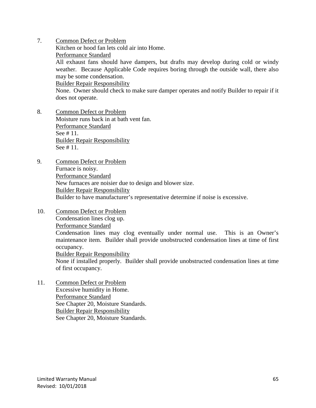- 7. Common Defect or Problem Kitchen or hood fan lets cold air into Home. Performance Standard All exhaust fans should have dampers, but drafts may develop during cold or windy weather. Because Applicable Code requires boring through the outside wall, there also may be some condensation. Builder Repair Responsibility None. Owner should check to make sure damper operates and notify Builder to repair if it does not operate.
- 8. Common Defect or Problem Moisture runs back in at bath vent fan. Performance Standard See # 11. Builder Repair Responsibility See # 11.
- 9. Common Defect or Problem Furnace is noisy. Performance Standard New furnaces are noisier due to design and blower size. Builder Repair Responsibility Builder to have manufacturer's representative determine if noise is excessive.
- 10. Common Defect or Problem Condensation lines clog up. Performance Standard Condensation lines may clog eventually under normal use. This is an Owner's maintenance item. Builder shall provide unobstructed condensation lines at time of first occupancy. Builder Repair Responsibility None if installed properly. Builder shall provide unobstructed condensation lines at time of first occupancy.
- 11. Common Defect or Problem Excessive humidity in Home. Performance Standard See Chapter 20, Moisture Standards. Builder Repair Responsibility See Chapter 20, Moisture Standards.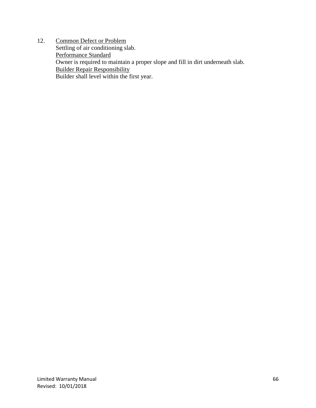12. Common Defect or Problem Settling of air conditioning slab. Performance Standard Owner is required to maintain a proper slope and fill in dirt underneath slab. Builder Repair Responsibility Builder shall level within the first year.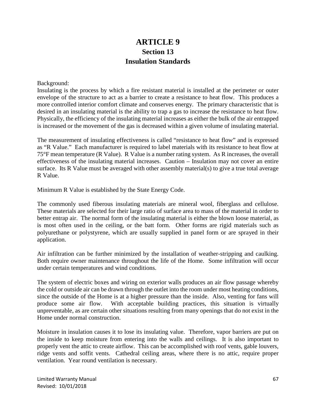# **ARTICLE 9 Section 13 Insulation Standards**

#### Background:

Insulating is the process by which a fire resistant material is installed at the perimeter or outer envelope of the structure to act as a barrier to create a resistance to heat flow. This produces a more controlled interior comfort climate and conserves energy. The primary characteristic that is desired in an insulating material is the ability to trap a gas to increase the resistance to heat flow. Physically, the efficiency of the insulating material increases as either the bulk of the air entrapped is increased or the movement of the gas is decreased within a given volume of insulating material.

The measurement of insulating effectiveness is called "resistance to heat flow" and is expressed as "R Value." Each manufacturer is required to label materials with its resistance to heat flow at 75°F mean temperature (R Value). R Value is a number rating system. As R increases, the overall effectiveness of the insulating material increases. Caution – Insulation may not cover an entire surface. Its R Value must be averaged with other assembly material(s) to give a true total average R Value.

Minimum R Value is established by the State Energy Code.

The commonly used fiberous insulating materials are mineral wool, fiberglass and cellulose. These materials are selected for their large ratio of surface area to mass of the material in order to better entrap air. The normal form of the insulating material is either the blown loose material, as is most often used in the ceiling, or the batt form. Other forms are rigid materials such as polyurethane or polystyrene, which are usually supplied in panel form or are sprayed in their application.

Air infiltration can be further minimized by the installation of weather-stripping and caulking. Both require owner maintenance throughout the life of the Home. Some infiltration will occur under certain temperatures and wind conditions.

The system of electric boxes and wiring on exterior walls produces an air flow passage whereby the cold or outside air can be drawn through the outlet into the room under most heating conditions, since the outside of the Home is at a higher pressure than the inside. Also, venting for fans will produce some air flow. With acceptable building practices, this situation is virtually unpreventable, as are certain other situations resulting from many openings that do not exist in the Home under normal construction.

Moisture in insulation causes it to lose its insulating value. Therefore, vapor barriers are put on the inside to keep moisture from entering into the walls and ceilings. It is also important to properly vent the attic to create airflow. This can be accomplished with roof vents, gable louvers, ridge vents and soffit vents. Cathedral ceiling areas, where there is no attic, require proper ventilation. Year round ventilation is necessary.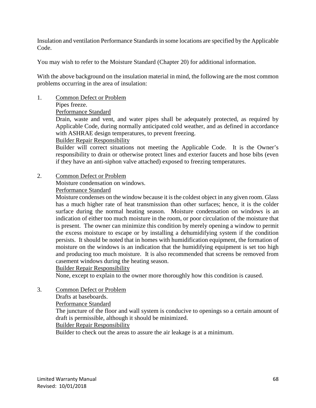Insulation and ventilation Performance Standards in some locations are specified by the Applicable Code.

You may wish to refer to the Moisture Standard (Chapter 20) for additional information.

With the above background on the insulation material in mind, the following are the most common problems occurring in the area of insulation:

## 1. Common Defect or Problem

### Pipes freeze.

Performance Standard

Drain, waste and vent, and water pipes shall be adequately protected, as required by Applicable Code, during normally anticipated cold weather, and as defined in accordance with ASHRAE design temperatures, to prevent freezing.

Builder Repair Responsibility

Builder will correct situations not meeting the Applicable Code. It is the Owner's responsibility to drain or otherwise protect lines and exterior faucets and hose bibs (even if they have an anti-siphon valve attached) exposed to freezing temperatures.

2. Common Defect or Problem

Moisture condensation on windows.

### Performance Standard

Moisture condenses on the window because it is the coldest object in any given room. Glass has a much higher rate of heat transmission than other surfaces; hence, it is the colder surface during the normal heating season. Moisture condensation on windows is an indication of either too much moisture in the room, or poor circulation of the moisture that is present. The owner can minimize this condition by merely opening a window to permit the excess moisture to escape or by installing a dehumidifying system if the condition persists. It should be noted that in homes with humidification equipment, the formation of moisture on the windows is an indication that the humidifying equipment is set too high and producing too much moisture. It is also recommended that screens be removed from casement windows during the heating season.

#### Builder Repair Responsibility

None, except to explain to the owner more thoroughly how this condition is caused.

## 3. Common Defect or Problem

Drafts at baseboards.

Performance Standard

The juncture of the floor and wall system is conducive to openings so a certain amount of draft is permissible, although it should be minimized.

Builder Repair Responsibility

Builder to check out the areas to assure the air leakage is at a minimum.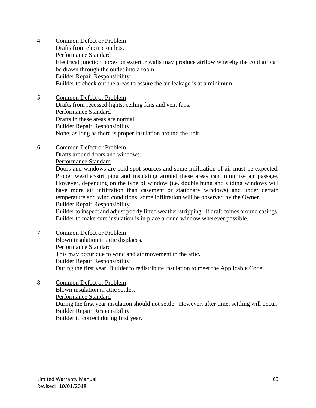- 4. Common Defect or Problem Drafts from electric outlets. Performance Standard Electrical junction boxes on exterior walls may produce airflow whereby the cold air can be drawn through the outlet into a room. Builder Repair Responsibility Builder to check out the areas to assure the air leakage is at a minimum.
- 5. Common Defect or Problem Drafts from recessed lights, ceiling fans and vent fans. Performance Standard Drafts in these areas are normal. Builder Repair Responsibility None, as long as there is proper insulation around the unit.
- 6. Common Defect or Problem
	- Drafts around doors and windows.
	- Performance Standard

Doors and windows are cold spot sources and some infiltration of air must be expected. Proper weather-stripping and insulating around these areas can minimize air passage. However, depending on the type of window (i.e. double hung and sliding windows will have more air infiltration than casement or stationary windows) and under certain temperature and wind conditions, some infiltration will be observed by the Owner. Builder Repair Responsibility

Builder to inspect and adjust poorly fitted weather-stripping. If draft comes around casings, Builder to make sure insulation is in place around window wherever possible.

- 7. Common Defect or Problem Blown insulation in attic displaces. Performance Standard This may occur due to wind and air movement in the attic. Builder Repair Responsibility During the first year, Builder to redistribute insulation to meet the Applicable Code.
- 8. Common Defect or Problem

Blown insulation in attic settles. Performance Standard During the first year insulation should not settle. However, after time, settling will occur. Builder Repair Responsibility Builder to correct during first year.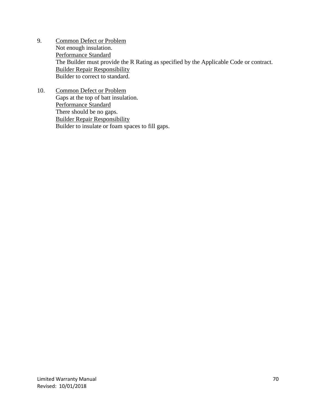- 9. Common Defect or Problem Not enough insulation. Performance Standard The Builder must provide the R Rating as specified by the Applicable Code or contract. Builder Repair Responsibility Builder to correct to standard.
- 10. Common Defect or Problem Gaps at the top of batt insulation. Performance Standard There should be no gaps. Builder Repair Responsibility Builder to insulate or foam spaces to fill gaps.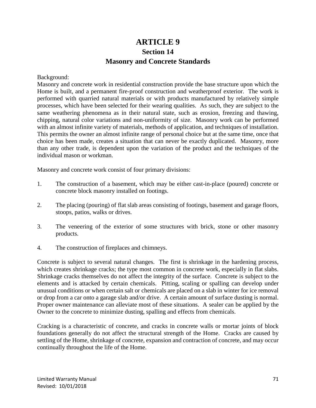# **ARTICLE 9 Section 14 Masonry and Concrete Standards**

#### Background:

Masonry and concrete work in residential construction provide the base structure upon which the Home is built, and a permanent fire-proof construction and weatherproof exterior. The work is performed with quarried natural materials or with products manufactured by relatively simple processes, which have been selected for their wearing qualities. As such, they are subject to the same weathering phenomena as in their natural state, such as erosion, freezing and thawing, chipping, natural color variations and non-uniformity of size. Masonry work can be performed with an almost infinite variety of materials, methods of application, and techniques of installation. This permits the owner an almost infinite range of personal choice but at the same time, once that choice has been made, creates a situation that can never be exactly duplicated. Masonry, more than any other trade, is dependent upon the variation of the product and the techniques of the individual mason or workman.

Masonry and concrete work consist of four primary divisions:

- 1. The construction of a basement, which may be either cast-in-place (poured) concrete or concrete block masonry installed on footings.
- 2. The placing (pouring) of flat slab areas consisting of footings, basement and garage floors, stoops, patios, walks or drives.
- 3. The veneering of the exterior of some structures with brick, stone or other masonry products.
- 4. The construction of fireplaces and chimneys.

Concrete is subject to several natural changes. The first is shrinkage in the hardening process, which creates shrinkage cracks; the type most common in concrete work, especially in flat slabs. Shrinkage cracks themselves do not affect the integrity of the surface. Concrete is subject to the elements and is attacked by certain chemicals. Pitting, scaling or spalling can develop under unusual conditions or when certain salt or chemicals are placed on a slab in winter for ice removal or drop from a car onto a garage slab and/or drive. A certain amount of surface dusting is normal. Proper owner maintenance can alleviate most of these situations. A sealer can be applied by the Owner to the concrete to minimize dusting, spalling and effects from chemicals.

Cracking is a characteristic of concrete, and cracks in concrete walls or mortar joints of block foundations generally do not affect the structural strength of the Home. Cracks are caused by settling of the Home, shrinkage of concrete, expansion and contraction of concrete, and may occur continually throughout the life of the Home.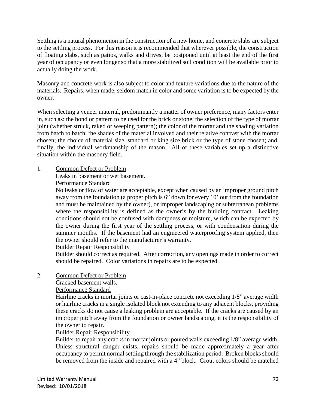Settling is a natural phenomenon in the construction of a new home, and concrete slabs are subject to the settling process. For this reason it is recommended that wherever possible, the construction of floating slabs, such as patios, walks and drives, be postponed until at least the end of the first year of occupancy or even longer so that a more stabilized soil condition will be available prior to actually doing the work.

Masonry and concrete work is also subject to color and texture variations due to the nature of the materials. Repairs, when made, seldom match in color and some variation is to be expected by the owner.

When selecting a veneer material, predominantly a matter of owner preference, many factors enter in, such as: the bond or pattern to be used for the brick or stone; the selection of the type of mortar joint (whether struck, raked or weeping pattern); the color of the mortar and the shading variation from batch to batch; the shades of the material involved and their relative contrast with the mortar chosen; the choice of material size, standard or king size brick or the type of stone chosen; and, finally, the individual workmanship of the mason. All of these variables set up a distinctive situation within the masonry field.

1. Common Defect or Problem

Leaks in basement or wet basement.

Performance Standard

No leaks or flow of water are acceptable, except when caused by an improper ground pitch away from the foundation (a proper pitch is 6" down for every 10' out from the foundation and must be maintained by the owner), or improper landscaping or subterranean problems where the responsibility is defined as the owner's by the building contract. Leaking conditions should not be confused with dampness or moisture, which can be expected by the owner during the first year of the settling process, or with condensation during the summer months. If the basement had an engineered waterproofing system applied, then the owner should refer to the manufacturer's warranty.

Builder Repair Responsibility

Builder should correct as required. After correction, any openings made in order to correct should be repaired. Color variations in repairs are to be expected.

## 2. Common Defect or Problem

Cracked basement walls.

## Performance Standard

Hairline cracks in mortar joints or cast-in-place concrete not exceeding 1/8" average width or hairline cracks in a single isolated block not extending to any adjacent blocks, providing these cracks do not cause a leaking problem are acceptable. If the cracks are caused by an improper pitch away from the foundation or owner landscaping, it is the responsibility of the owner to repair.

## Builder Repair Responsibility

Builder to repair any cracks in mortar joints or poured walls exceeding 1/8" average width. Unless structural danger exists, repairs should be made approximately a year after occupancy to permit normal settling through the stabilization period. Broken blocks should be removed from the inside and repaired with a 4" block. Grout colors should be matched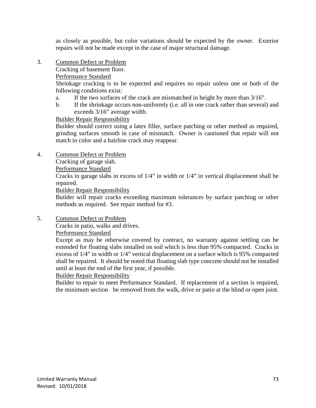as closely as possible, but color variations should be expected by the owner. Exterior repairs will not be made except in the case of major structural damage.

3. Common Defect or Problem

Cracking of basement floor.

### Performance Standard

Shrinkage cracking is to be expected and requires no repair unless one or both of the following conditions exist:

- a. If the two surfaces of the crack are mismatched in height by more than 3/16".
- b. If the shrinkage occurs non-uniformly (i.e. all in one crack rather than several) and exceeds 3/16" average width.

### Builder Repair Responsibility

Builder should correct using a latex filler, surface patching or other method as required, grinding surfaces smooth in case of mismatch. Owner is cautioned that repair will not match in color and a hairline crack may reappear.

## 4. Common Defect or Problem

Cracking of garage slab.

Performance Standard

Cracks in garage slabs in excess of 1/4" in width or 1/4" in vertical displacement shall be repaired.

Builder Repair Responsibility

Builder will repair cracks exceeding maximum tolerances by surface patching or other methods as required. See repair method for #3.

## 5. Common Defect or Problem

Cracks in patio, walks and drives.

Performance Standard

Except as may be otherwise covered by contract, no warranty against settling can be extended for floating slabs installed on soil which is less than 95% compacted. Cracks in excess of 1/4" in width or 1/4" vertical displacement on a surface which is 95% compacted shall be repaired. It should be noted that floating slab type concrete should not be installed until at least the end of the first year, if possible.

### Builder Repair Responsibility

Builder to repair to meet Performance Standard. If replacement of a section is required, the minimum section be removed from the walk, drive or patio at the blind or open joint.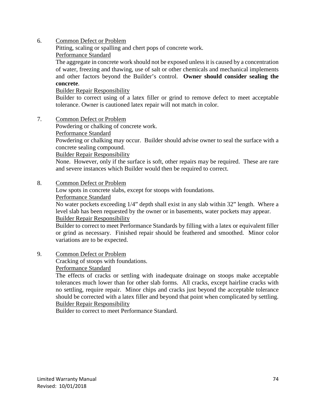Pitting, scaling or spalling and chert pops of concrete work.

Performance Standard

The aggregate in concrete work should not be exposed unless it is caused by a concentration of water, freezing and thawing, use of salt or other chemicals and mechanical implements and other factors beyond the Builder's control. **Owner should consider sealing the concrete**.

### Builder Repair Responsibility

Builder to correct using of a latex filler or grind to remove defect to meet acceptable tolerance. Owner is cautioned latex repair will not match in color.

7. Common Defect or Problem

Powdering or chalking of concrete work.

Performance Standard

Powdering or chalking may occur. Builder should advise owner to seal the surface with a concrete sealing compound.

Builder Repair Responsibility

None. However, only if the surface is soft, other repairs may be required. These are rare and severe instances which Builder would then be required to correct.

### 8. Common Defect or Problem

Low spots in concrete slabs, except for stoops with foundations.

### Performance Standard

No water pockets exceeding 1/4" depth shall exist in any slab within 32" length. Where a level slab has been requested by the owner or in basements, water pockets may appear. Builder Repair Responsibility

Builder to correct to meet Performance Standards by filling with a latex or equivalent filler or grind as necessary. Finished repair should be feathered and smoothed. Minor color variations are to be expected.

## 9. Common Defect or Problem

Cracking of stoops with foundations.

## Performance Standard

The effects of cracks or settling with inadequate drainage on stoops make acceptable tolerances much lower than for other slab forms. All cracks, except hairline cracks with no settling, require repair. Minor chips and cracks just beyond the acceptable tolerance should be corrected with a latex filler and beyond that point when complicated by settling. Builder Repair Responsibility

Builder to correct to meet Performance Standard.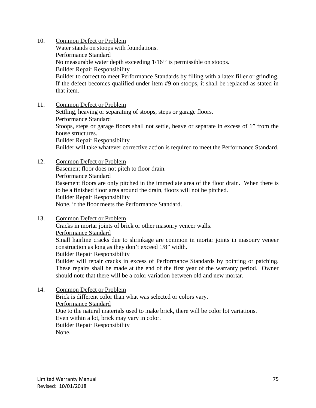- 10. Common Defect or Problem Water stands on stoops with foundations. Performance Standard No measurable water depth exceeding 1/16'' is permissible on stoops. Builder Repair Responsibility Builder to correct to meet Performance Standards by filling with a latex filler or grinding. If the defect becomes qualified under item #9 on stoops, it shall be replaced as stated in that item.
- 11. Common Defect or Problem Settling, heaving or separating of stoops, steps or garage floors. Performance Standard Stoops, steps or garage floors shall not settle, heave or separate in excess of 1" from the house structures. Builder Repair Responsibility Builder will take whatever corrective action is required to meet the Performance Standard.
- 12. Common Defect or Problem Basement floor does not pitch to floor drain. Performance Standard Basement floors are only pitched in the immediate area of the floor drain. When there is to be a finished floor area around the drain, floors will not be pitched. Builder Repair Responsibility None, if the floor meets the Performance Standard.
- 13. Common Defect or Problem

Cracks in mortar joints of brick or other masonry veneer walls.

Performance Standard

Small hairline cracks due to shrinkage are common in mortar joints in masonry veneer construction as long as they don't exceed 1/8" width.

Builder Repair Responsibility

Builder will repair cracks in excess of Performance Standards by pointing or patching. These repairs shall be made at the end of the first year of the warranty period. Owner should note that there will be a color variation between old and new mortar.

14. Common Defect or Problem Brick is different color than what was selected or colors vary. Performance Standard Due to the natural materials used to make brick, there will be color lot variations. Even within a lot, brick may vary in color. Builder Repair Responsibility None.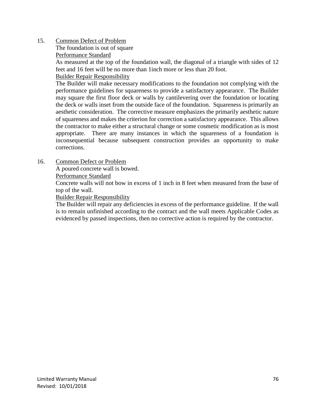The foundation is out of square

Performance Standard

As measured at the top of the foundation wall, the diagonal of a triangle with sides of 12 feet and 16 feet will be no more than 1inch more or less than 20 foot.

Builder Repair Responsibility

The Builder will make necessary modifications to the foundation not complying with the performance guidelines for squareness to provide a satisfactory appearance. The Builder may square the first floor deck or walls by cantilevering over the foundation or locating the deck or walls inset from the outside face of the foundation. Squareness is primarily an aesthetic consideration. The corrective measure emphasizes the primarily aesthetic nature of squareness and makes the criterion for correction a satisfactory appearance. This allows the contractor to make either a structural change or some cosmetic modification as is most appropriate. There are many instances in which the squareness of a foundation is inconsequential because subsequent construction provides an opportunity to make corrections.

# 16. Common Defect or Problem

A poured concrete wall is bowed.

Performance Standard

Concrete walls will not bow in excess of 1 inch in 8 feet when measured from the base of top of the wall.

## Builder Repair Responsibility

The Builder will repair any deficiencies in excess of the performance guideline. If the wall is to remain unfinished according to the contract and the wall meets Applicable Codes as evidenced by passed inspections, then no corrective action is required by the contractor.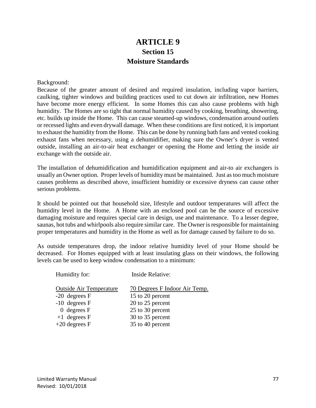# **ARTICLE 9 Section 15 Moisture Standards**

#### Background:

Because of the greater amount of desired and required insulation, including vapor barriers, caulking, tighter windows and building practices used to cut down air infiltration, new Homes have become more energy efficient. In some Homes this can also cause problems with high humidity. The Homes are so tight that normal humidity caused by cooking, breathing, showering, etc. builds up inside the Home. This can cause steamed-up windows, condensation around outlets or recessed lights and even drywall damage. When these conditions are first noticed, it is important to exhaust the humidity from the Home. This can be done by running bath fans and vented cooking exhaust fans when necessary, using a dehumidifier, making sure the Owner's dryer is vented outside, installing an air-to-air heat exchanger or opening the Home and letting the inside air exchange with the outside air.

The installation of dehumidification and humidification equipment and air-to air exchangers is usually an Owner option. Proper levels of humidity must be maintained. Just as too much moisture causes problems as described above, insufficient humidity or excessive dryness can cause other serious problems.

It should be pointed out that household size, lifestyle and outdoor temperatures will affect the humidity level in the Home. A Home with an enclosed pool can be the source of excessive damaging moisture and requires special care in design, use and maintenance. To a lesser degree, saunas, hot tubs and whirlpools also require similar care. The Owner is responsible for maintaining proper temperatures and humidity in the Home as well as for damage caused by failure to do so.

As outside temperatures drop, the indoor relative humidity level of your Home should be decreased. For Homes equipped with at least insulating glass on their windows, the following levels can be used to keep window condensation to a minimum:

| Humidity for:                  | Inside Relative:                     |
|--------------------------------|--------------------------------------|
| <b>Outside Air Temperature</b> | <u>70 Degrees F Indoor Air Temp.</u> |
| $-20$ degrees F                | 15 to 20 percent                     |
| $-10$ degrees F                | 20 to 25 percent                     |
| $0$ degrees $F$                | 25 to 30 percent                     |
| $+1$ degrees F                 | 30 to 35 percent                     |
| $+20$ degrees F                | 35 to 40 percent                     |
|                                |                                      |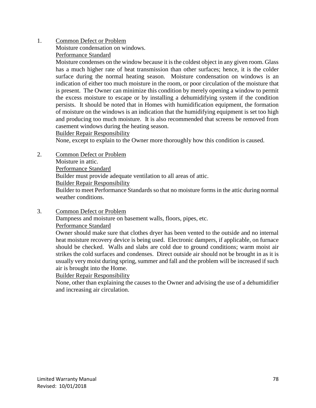1. Common Defect or Problem Moisture condensation on windows. Performance Standard

> Moisture condenses on the window because it is the coldest object in any given room. Glass has a much higher rate of heat transmission than other surfaces; hence, it is the colder surface during the normal heating season. Moisture condensation on windows is an indication of either too much moisture in the room, or poor circulation of the moisture that is present. The Owner can minimize this condition by merely opening a window to permit the excess moisture to escape or by installing a dehumidifying system if the condition persists. It should be noted that in Homes with humidification equipment, the formation of moisture on the windows is an indication that the humidifying equipment is set too high and producing too much moisture. It is also recommended that screens be removed from casement windows during the heating season.

Builder Repair Responsibility

None, except to explain to the Owner more thoroughly how this condition is caused.

2. Common Defect or Problem

Moisture in attic. Performance Standard Builder must provide adequate ventilation to all areas of attic. Builder Repair Responsibility Builder to meet Performance Standards so that no moisture forms in the attic during normal weather conditions.

3. Common Defect or Problem

Dampness and moisture on basement walls, floors, pipes, etc. Performance Standard

Owner should make sure that clothes dryer has been vented to the outside and no internal heat moisture recovery device is being used. Electronic dampers, if applicable, on furnace should be checked. Walls and slabs are cold due to ground conditions; warm moist air strikes the cold surfaces and condenses. Direct outside air should not be brought in as it is usually very moist during spring, summer and fall and the problem will be increased if such air is brought into the Home.

Builder Repair Responsibility

None, other than explaining the causes to the Owner and advising the use of a dehumidifier and increasing air circulation.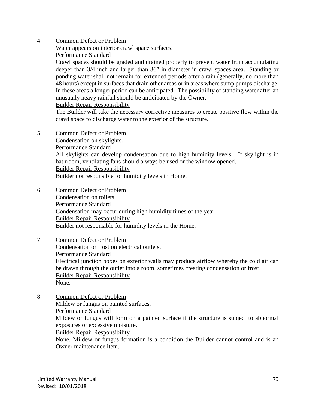Water appears on interior crawl space surfaces. Performance Standard

Crawl spaces should be graded and drained properly to prevent water from accumulating deeper than 3/4 inch and larger than 36" in diameter in crawl spaces area. Standing or ponding water shall not remain for extended periods after a rain (generally, no more than 48 hours) except in surfaces that drain other areas or in areas where sump pumps discharge. In these areas a longer period can be anticipated. The possibility of standing water after an unusually heavy rainfall should be anticipated by the Owner.

# Builder Repair Responsibility

The Builder will take the necessary corrective measures to create positive flow within the crawl space to discharge water to the exterior of the structure.

5. Common Defect or Problem

Condensation on skylights.

Performance Standard

All skylights can develop condensation due to high humidity levels. If skylight is in bathroom, ventilating fans should always be used or the window opened. Builder Repair Responsibility

Builder not responsible for humidity levels in Home.

- 6. Common Defect or Problem Condensation on toilets. Performance Standard Condensation may occur during high humidity times of the year. Builder Repair Responsibility Builder not responsible for humidity levels in the Home.
- 7. Common Defect or Problem Condensation or frost on electrical outlets. Performance Standard Electrical junction boxes on exterior walls may produce airflow whereby the cold air can be drawn through the outlet into a room, sometimes creating condensation or frost. Builder Repair Responsibility None.
- 8. Common Defect or Problem Mildew or fungus on painted surfaces. Performance Standard Mildew or fungus will form on a painted surface if the structure is subject to abnormal exposures or excessive moisture. Builder Repair Responsibility None. Mildew or fungus formation is a condition the Builder cannot control and is an Owner maintenance item.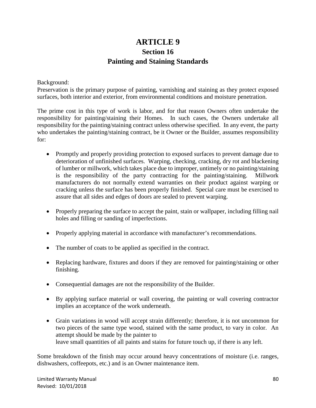# **ARTICLE 9 Section 16 Painting and Staining Standards**

Background:

Preservation is the primary purpose of painting, varnishing and staining as they protect exposed surfaces, both interior and exterior, from environmental conditions and moisture penetration.

The prime cost in this type of work is labor, and for that reason Owners often undertake the responsibility for painting/staining their Homes. In such cases, the Owners undertake all responsibility for the painting/staining contract unless otherwise specified. In any event, the party who undertakes the painting/staining contract, be it Owner or the Builder, assumes responsibility for:

- Promptly and properly providing protection to exposed surfaces to prevent damage due to deterioration of unfinished surfaces. Warping, checking, cracking, dry rot and blackening of lumber or millwork, which takes place due to improper, untimely or no painting/staining is the responsibility of the party contracting for the painting/staining. Millwork manufacturers do not normally extend warranties on their product against warping or cracking unless the surface has been properly finished. Special care must be exercised to assure that all sides and edges of doors are sealed to prevent warping.
- Properly preparing the surface to accept the paint, stain or wallpaper, including filling nail holes and filling or sanding of imperfections.
- Properly applying material in accordance with manufacturer's recommendations.
- The number of coats to be applied as specified in the contract.
- Replacing hardware, fixtures and doors if they are removed for painting/staining or other finishing.
- Consequential damages are not the responsibility of the Builder.
- By applying surface material or wall covering, the painting or wall covering contractor implies an acceptance of the work underneath.
- Grain variations in wood will accept strain differently; therefore, it is not uncommon for two pieces of the same type wood, stained with the same product, to vary in color. An attempt should be made by the painter to leave small quantities of all paints and stains for future touch up, if there is any left.

Some breakdown of the finish may occur around heavy concentrations of moisture (i.e. ranges, dishwashers, coffeepots, etc.) and is an Owner maintenance item.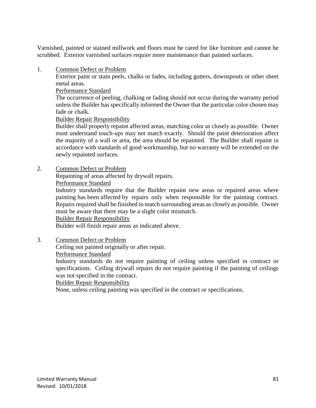Varnished, painted or stained millwork and floors must be cared for like furniture and cannot be scrubbed. Exterior varnished surfaces require more maintenance than painted surfaces.

# 1. Common Defect or Problem

Exterior paint or stain peels, chalks or fades, including gutters, downspouts or other sheet metal areas.

Performance Standard

The occurrence of peeling, chalking or fading should not occur during the warranty period unless the Builder has specifically informed the Owner that the particular color chosen may fade or chalk.

Builder Repair Responsibility

Builder shall properly repaint affected areas, matching color as closely as possible. Owner must understand touch-ups may not match exactly. Should the paint deterioration affect the majority of a wall or area, the area should be repainted. The Builder shall repaint in accordance with standards of good workmanship, but no warranty will be extended on the newly repainted surfaces.

2. Common Defect or Problem

Repainting of areas affected by drywall repairs.

Performance Standard

Industry standards require that the Builder repaint new areas or repaired areas where painting has been affected by repairs only when responsible for the painting contract. Repairs required shall be finished to match surrounding areas as closely as possible. Owner must be aware that there may be a slight color mismatch.

Builder Repair Responsibility

Builder will finish repair areas as indicated above.

3. Common Defect or Problem

Ceiling not painted originally or after repair.

Performance Standard

Industry standards do not require painting of ceiling unless specified in contract or specifications. Ceiling drywall repairs do not require painting if the painting of ceilings was not specified in the contract.

Builder Repair Responsibility

None, unless ceiling painting was specified in the contract or specifications.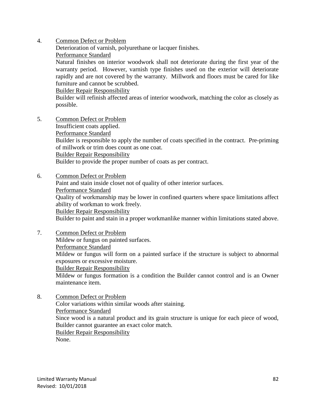- 4. Common Defect or Problem Deterioration of varnish, polyurethane or lacquer finishes. Performance Standard Natural finishes on interior woodwork shall not deteriorate during the first year of the warranty period. However, varnish type finishes used on the exterior will deteriorate rapidly and are not covered by the warranty. Millwork and floors must be cared for like furniture and cannot be scrubbed. Builder Repair Responsibility Builder will refinish affected areas of interior woodwork, matching the color as closely as possible.
- 5. Common Defect or Problem Insufficient coats applied. Performance Standard Builder is responsible to apply the number of coats specified in the contract. Pre-priming of millwork or trim does count as one coat. Builder Repair Responsibility Builder to provide the proper number of coats as per contract.
- 6. Common Defect or Problem Paint and stain inside closet not of quality of other interior surfaces. Performance Standard Quality of workmanship may be lower in confined quarters where space limitations affect ability of workman to work freely. Builder Repair Responsibility Builder to paint and stain in a proper workmanlike manner within limitations stated above.
- 7. Common Defect or Problem Mildew or fungus on painted surfaces. Performance Standard Mildew or fungus will form on a painted surface if the structure is subject to abnormal exposures or excessive moisture. Builder Repair Responsibility Mildew or fungus formation is a condition the Builder cannot control and is an Owner maintenance item.
- 8. Common Defect or Problem Color variations within similar woods after staining. Performance Standard Since wood is a natural product and its grain structure is unique for each piece of wood, Builder cannot guarantee an exact color match. Builder Repair Responsibility None.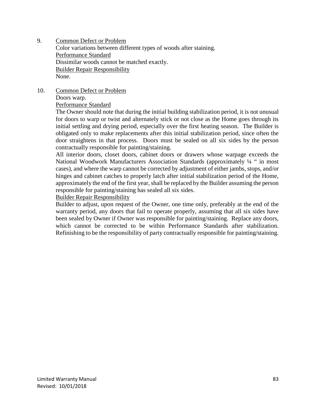- 9. Common Defect or Problem Color variations between different types of woods after staining. Performance Standard Dissimilar woods cannot be matched exactly. Builder Repair Responsibility None.
- 10. Common Defect or Problem

Doors warp.

Performance Standard

The Owner should note that during the initial building stabilization period, it is not unusual for doors to warp or twist and alternately stick or not close as the Home goes through its initial settling and drying period, especially over the first heating season. The Builder is obligated only to make replacements after this initial stabilization period, since often the door straightens in that process. Doors must be sealed on all six sides by the person contractually responsible for painting/staining.

All interior doors, closet doors, cabinet doors or drawers whose warpage exceeds the National Woodwork Manufacturers Association Standards (approximately  $\frac{1}{4}$  " in most cases), and where the warp cannot be corrected by adjustment of either jambs, stops, and/or hinges and cabinet catches to properly latch after initial stabilization period of the Home, approximately the end of the first year, shall be replaced by the Builder assuming the person responsible for painting/staining has sealed all six sides.

Builder Repair Responsibility

Builder to adjust, upon request of the Owner, one time only, preferably at the end of the warranty period, any doors that fail to operate properly, assuming that all six sides have been sealed by Owner if Owner was responsible for painting/staining. Replace any doors, which cannot be corrected to be within Performance Standards after stabilization. Refinishing to be the responsibility of party contractually responsible for painting/staining.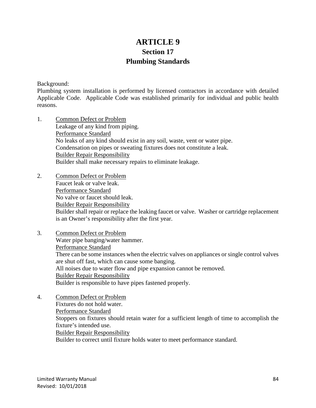# **ARTICLE 9 Section 17 Plumbing Standards**

Background:

Plumbing system installation is performed by licensed contractors in accordance with detailed Applicable Code. Applicable Code was established primarily for individual and public health reasons.

- 1. Common Defect or Problem Leakage of any kind from piping. Performance Standard No leaks of any kind should exist in any soil, waste, vent or water pipe. Condensation on pipes or sweating fixtures does not constitute a leak. Builder Repair Responsibility Builder shall make necessary repairs to eliminate leakage.
- 2. Common Defect or Problem Faucet leak or valve leak. Performance Standard No valve or faucet should leak. Builder Repair Responsibility Builder shall repair or replace the leaking faucet or valve. Washer or cartridge replacement is an Owner's responsibility after the first year.
- 3. Common Defect or Problem Water pipe banging/water hammer. Performance Standard There can be some instances when the electric valves on appliances or single control valves are shut off fast, which can cause some banging. All noises due to water flow and pipe expansion cannot be removed. Builder Repair Responsibility Builder is responsible to have pipes fastened properly.
- 4. Common Defect or Problem Fixtures do not hold water. Performance Standard Stoppers on fixtures should retain water for a sufficient length of time to accomplish the fixture's intended use. Builder Repair Responsibility Builder to correct until fixture holds water to meet performance standard.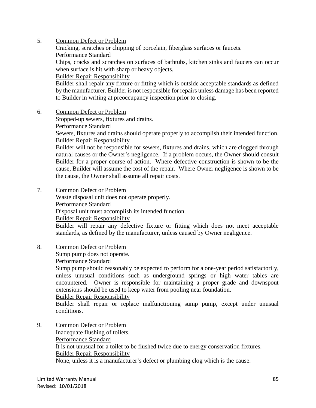Cracking, scratches or chipping of porcelain, fiberglass surfaces or faucets. Performance Standard

Chips, cracks and scratches on surfaces of bathtubs, kitchen sinks and faucets can occur when surface is hit with sharp or heavy objects.

Builder Repair Responsibility

Builder shall repair any fixture or fitting which is outside acceptable standards as defined by the manufacturer. Builder is not responsible for repairs unless damage has been reported to Builder in writing at preoccupancy inspection prior to closing.

6. Common Defect or Problem

Stopped-up sewers, fixtures and drains.

Performance Standard

Sewers, fixtures and drains should operate properly to accomplish their intended function. Builder Repair Responsibility

Builder will not be responsible for sewers, fixtures and drains, which are clogged through natural causes or the Owner's negligence. If a problem occurs, the Owner should consult Builder for a proper course of action. Where defective construction is shown to be the cause, Builder will assume the cost of the repair. Where Owner negligence is shown to be the cause, the Owner shall assume all repair costs.

7. Common Defect or Problem

Waste disposal unit does not operate properly. Performance Standard Disposal unit must accomplish its intended function. Builder Repair Responsibility Builder will repair any defective fixture or fitting which does not meet acceptable standards, as defined by the manufacturer, unless caused by Owner negligence.

8. Common Defect or Problem

Sump pump does not operate.

Performance Standard

Sump pump should reasonably be expected to perform for a one-year period satisfactorily, unless unusual conditions such as underground springs or high water tables are encountered. Owner is responsible for maintaining a proper grade and downspout extensions should be used to keep water from pooling near foundation.

#### Builder Repair Responsibility

Builder shall repair or replace malfunctioning sump pump, except under unusual conditions.

9. Common Defect or Problem Inadequate flushing of toilets. Performance Standard It is not unusual for a toilet to be flushed twice due to energy conservation fixtures. Builder Repair Responsibility None, unless it is a manufacturer's defect or plumbing clog which is the cause.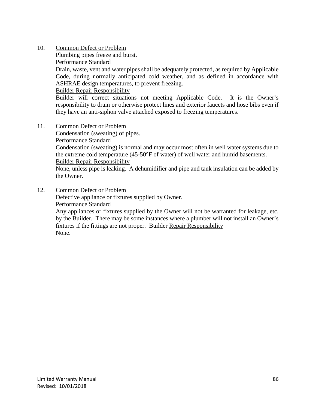Plumbing pipes freeze and burst.

Performance Standard

Drain, waste, vent and water pipes shall be adequately protected, as required by Applicable Code, during normally anticipated cold weather, and as defined in accordance with ASHRAE design temperatures, to prevent freezing.

Builder Repair Responsibility

Builder will correct situations not meeting Applicable Code. It is the Owner's responsibility to drain or otherwise protect lines and exterior faucets and hose bibs even if they have an anti-siphon valve attached exposed to freezing temperatures.

11. Common Defect or Problem

Condensation (sweating) of pipes.

Performance Standard

Condensation (sweating) is normal and may occur most often in well water systems due to the extreme cold temperature (45-50°F of water) of well water and humid basements. Builder Repair Responsibility

None, unless pipe is leaking. A dehumidifier and pipe and tank insulation can be added by the Owner.

12. Common Defect or Problem

Defective appliance or fixtures supplied by Owner.

Performance Standard

Any appliances or fixtures supplied by the Owner will not be warranted for leakage, etc. by the Builder. There may be some instances where a plumber will not install an Owner's fixtures if the fittings are not proper. Builder Repair Responsibility None.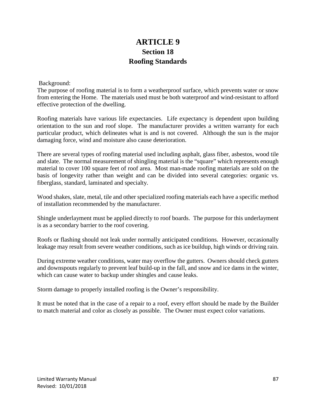# **ARTICLE 9 Section 18 Roofing Standards**

Background:

The purpose of roofing material is to form a weatherproof surface, which prevents water or snow from entering the Home. The materials used must be both waterproof and wind-resistant to afford effective protection of the dwelling.

Roofing materials have various life expectancies. Life expectancy is dependent upon building orientation to the sun and roof slope. The manufacturer provides a written warranty for each particular product, which delineates what is and is not covered. Although the sun is the major damaging force, wind and moisture also cause deterioration.

There are several types of roofing material used including asphalt, glass fiber, asbestos, wood tile and slate. The normal measurement of shingling material is the "square" which represents enough material to cover 100 square feet of roof area. Most man-made roofing materials are sold on the basis of longevity rather than weight and can be divided into several categories: organic vs. fiberglass, standard, laminated and specialty.

Wood shakes, slate, metal, tile and other specialized roofing materials each have a specific method of installation recommended by the manufacturer.

Shingle underlayment must be applied directly to roof boards. The purpose for this underlayment is as a secondary barrier to the roof covering.

Roofs or flashing should not leak under normally anticipated conditions. However, occasionally leakage may result from severe weather conditions, such as ice buildup, high winds or driving rain.

During extreme weather conditions, water may overflow the gutters. Owners should check gutters and downspouts regularly to prevent leaf build-up in the fall, and snow and ice dams in the winter, which can cause water to backup under shingles and cause leaks.

Storm damage to properly installed roofing is the Owner's responsibility.

It must be noted that in the case of a repair to a roof, every effort should be made by the Builder to match material and color as closely as possible. The Owner must expect color variations.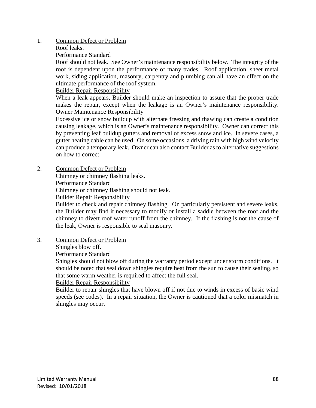### Roof leaks.

Performance Standard

Roof should not leak. See Owner's maintenance responsibility below. The integrity of the roof is dependent upon the performance of many trades. Roof application, sheet metal work, siding application, masonry, carpentry and plumbing can all have an effect on the ultimate performance of the roof system.

### Builder Repair Responsibility

When a leak appears, Builder should make an inspection to assure that the proper trade makes the repair, except when the leakage is an Owner's maintenance responsibility. Owner Maintenance Responsibility

Excessive ice or snow buildup with alternate freezing and thawing can create a condition causing leakage, which is an Owner's maintenance responsibility. Owner can correct this by preventing leaf buildup gutters and removal of excess snow and ice. In severe cases, a gutter heating cable can be used. On some occasions, a driving rain with high wind velocity can produce a temporary leak. Owner can also contact Builder as to alternative suggestions on how to correct.

2. Common Defect or Problem

Chimney or chimney flashing leaks.

Performance Standard

Chimney or chimney flashing should not leak.

Builder Repair Responsibility

Builder to check and repair chimney flashing. On particularly persistent and severe leaks, the Builder may find it necessary to modify or install a saddle between the roof and the chimney to divert roof water runoff from the chimney. If the flashing is not the cause of the leak, Owner is responsible to seal masonry.

3. Common Defect or Problem

## Shingles blow off.

## Performance Standard

Shingles should not blow off during the warranty period except under storm conditions. It should be noted that seal down shingles require heat from the sun to cause their sealing, so that some warm weather is required to affect the full seal.

## Builder Repair Responsibility

Builder to repair shingles that have blown off if not due to winds in excess of basic wind speeds (see codes). In a repair situation, the Owner is cautioned that a color mismatch in shingles may occur.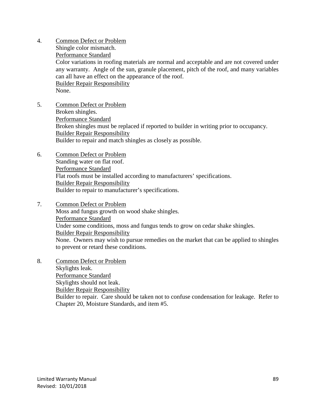- 4. Common Defect or Problem Shingle color mismatch. Performance Standard Color variations in roofing materials are normal and acceptable and are not covered under any warranty. Angle of the sun, granule placement, pitch of the roof, and many variables can all have an effect on the appearance of the roof. Builder Repair Responsibility None.
- 5. Common Defect or Problem Broken shingles. Performance Standard Broken shingles must be replaced if reported to builder in writing prior to occupancy. Builder Repair Responsibility Builder to repair and match shingles as closely as possible.
- 6. Common Defect or Problem Standing water on flat roof. Performance Standard Flat roofs must be installed according to manufacturers' specifications. Builder Repair Responsibility Builder to repair to manufacturer's specifications.
- 7. Common Defect or Problem Moss and fungus growth on wood shake shingles. Performance Standard Under some conditions, moss and fungus tends to grow on cedar shake shingles. Builder Repair Responsibility None. Owners may wish to pursue remedies on the market that can be applied to shingles to prevent or retard these conditions.
- 8. Common Defect or Problem Skylights leak. Performance Standard Skylights should not leak. Builder Repair Responsibility Builder to repair. Care should be taken not to confuse condensation for leakage. Refer to Chapter 20, Moisture Standards, and item #5.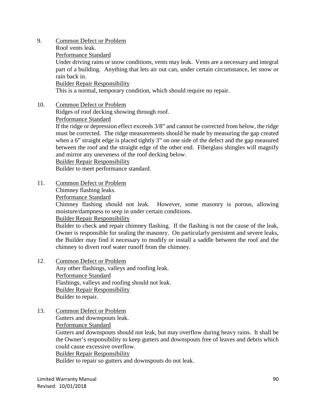- 9. Common Defect or Problem
	- Roof vents leak.

Performance Standard

Under driving rains or snow conditions, vents may leak. Vents are a necessary and integral part of a building. Anything that lets air out can, under certain circumstance, let snow or rain back in.

Builder Repair Responsibility

This is a normal, temporary condition, which should require no repair.

10. Common Defect or Problem

Ridges of roof decking showing through roof.

Performance Standard

If the ridge or depression effect exceeds 3/8" and cannot be corrected from below, the ridge must be corrected. The ridge measurements should be made by measuring the gap created when a 6" straight edge is placed tightly 3" on one side of the defect and the gap measured between the roof and the straight edge of the other end. Fiberglass shingles will magnify and mirror any uneveness of the roof decking below.

Builder Repair Responsibility

Builder to meet performance standard.

11. Common Defect or Problem

Chimney flashing leaks.

Performance Standard

Chimney flashing should not leak. However, some masonry is porous, allowing moisture/dampness to seep in under certain conditions.

Builder Repair Responsibility

Builder to check and repair chimney flashing. If the flashing is not the cause of the leak, Owner is responsible for sealing the masonry. On particularly persistent and severe leaks, the Builder may find it necessary to modify or install a saddle between the roof and the chimney to divert roof water runoff from the chimney.

12. Common Defect or Problem

Any other flashings, valleys and roofing leak. Performance Standard Flashings, valleys and roofing should not leak. Builder Repair Responsibility Builder to repair.

13. Common Defect or Problem

Gutters and downspouts leak.

Performance Standard

Gutters and downspouts should not leak, but may overflow during heavy rains. It shall be the Owner's responsibility to keep gutters and downspouts free of leaves and debris which could cause excessive overflow.

Builder Repair Responsibility

Builder to repair so gutters and downspouts do not leak.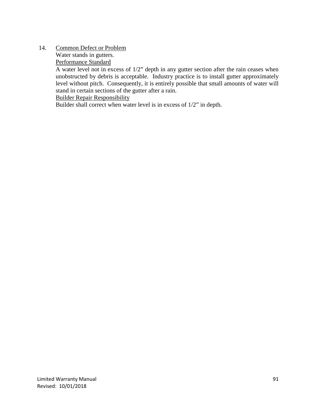14. Common Defect or Problem Water stands in gutters. Performance Standard

A water level not in excess of 1/2" depth in any gutter section after the rain ceases when unobstructed by debris is acceptable. Industry practice is to install gutter approximately level without pitch. Consequently, it is entirely possible that small amounts of water will stand in certain sections of the gutter after a rain.

Builder Repair Responsibility

Builder shall correct when water level is in excess of 1/2" in depth.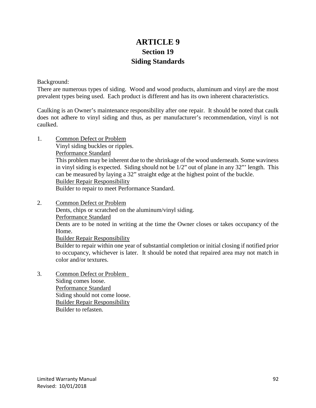# **ARTICLE 9 Section 19 Siding Standards**

Background:

There are numerous types of siding. Wood and wood products, aluminum and vinyl are the most prevalent types being used. Each product is different and has its own inherent characteristics.

Caulking is an Owner's maintenance responsibility after one repair. It should be noted that caulk does not adhere to vinyl siding and thus, as per manufacturer's recommendation, vinyl is not caulked.

1. Common Defect or Problem

Vinyl siding buckles or ripples.

Performance Standard

This problem may be inherent due to the shrinkage of the wood underneath. Some waviness in vinyl siding is expected. Siding should not be 1/2" out of plane in any 32"' length. This can be measured by laying a 32" straight edge at the highest point of the buckle. Builder Repair Responsibility

Builder to repair to meet Performance Standard.

2. Common Defect or Problem

Dents, chips or scratched on the aluminum/vinyl siding. Performance Standard Dents are to be noted in writing at the time the Owner closes or takes occupancy of the

Home.

Builder Repair Responsibility

Builder to repair within one year of substantial completion or initial closing if notified prior to occupancy, whichever is later. It should be noted that repaired area may not match in color and/or textures.

3. Common Defect or Problem Siding comes loose. Performance Standard Siding should not come loose. Builder Repair Responsibility Builder to refasten.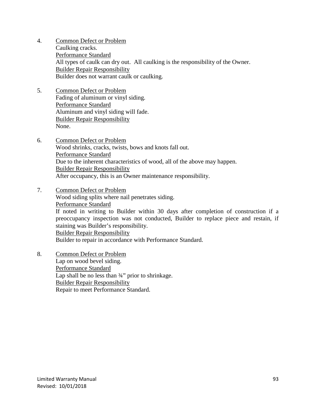- 4. Common Defect or Problem Caulking cracks. Performance Standard All types of caulk can dry out. All caulking is the responsibility of the Owner. Builder Repair Responsibility Builder does not warrant caulk or caulking.
- 5. Common Defect or Problem Fading of aluminum or vinyl siding. Performance Standard Aluminum and vinyl siding will fade. Builder Repair Responsibility None.
- 6. Common Defect or Problem Wood shrinks, cracks, twists, bows and knots fall out. Performance Standard Due to the inherent characteristics of wood, all of the above may happen. Builder Repair Responsibility After occupancy, this is an Owner maintenance responsibility.
- 7. Common Defect or Problem Wood siding splits where nail penetrates siding. Performance Standard If noted in writing to Builder within 30 days after completion of construction if a preoccupancy inspection was not conducted, Builder to replace piece and restain, if staining was Builder's responsibility. Builder Repair Responsibility Builder to repair in accordance with Performance Standard.
- 8. Common Defect or Problem Lap on wood bevel siding. Performance Standard Lap shall be no less than  $\frac{3}{4}$ " prior to shrinkage. Builder Repair Responsibility Repair to meet Performance Standard.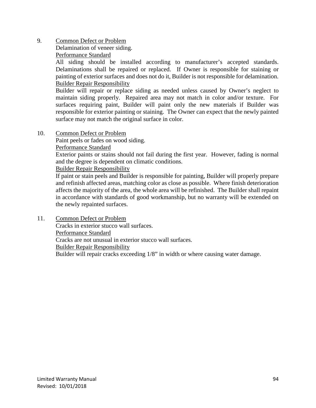Delamination of veneer siding.

# Performance Standard

All siding should be installed according to manufacturer's accepted standards. Delaminations shall be repaired or replaced. If Owner is responsible for staining or painting of exterior surfaces and does not do it, Builder is not responsible for delamination. Builder Repair Responsibility

Builder will repair or replace siding as needed unless caused by Owner's neglect to maintain siding properly. Repaired area may not match in color and/or texture. For surfaces requiring paint, Builder will paint only the new materials if Builder was responsible for exterior painting or staining. The Owner can expect that the newly painted surface may not match the original surface in color.

10. Common Defect or Problem

Paint peels or fades on wood siding.

Performance Standard

Exterior paints or stains should not fail during the first year. However, fading is normal and the degree is dependent on climatic conditions.

Builder Repair Responsibility

If paint or stain peels and Builder is responsible for painting, Builder will properly prepare and refinish affected areas, matching color as close as possible. Where finish deterioration affects the majority of the area, the whole area will be refinished. The Builder shall repaint in accordance with standards of good workmanship, but no warranty will be extended on the newly repainted surfaces.

## 11. Common Defect or Problem

Cracks in exterior stucco wall surfaces. Performance Standard Cracks are not unusual in exterior stucco wall surfaces. Builder Repair Responsibility Builder will repair cracks exceeding 1/8" in width or where causing water damage.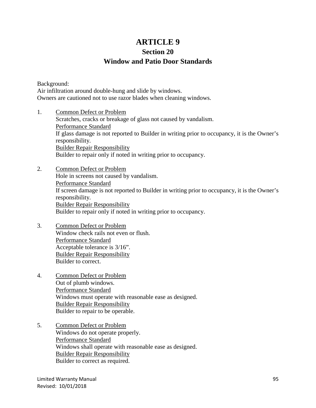# **ARTICLE 9 Section 20 Window and Patio Door Standards**

Background: Air infiltration around double-hung and slide by windows. Owners are cautioned not to use razor blades when cleaning windows.

- 1. Common Defect or Problem Scratches, cracks or breakage of glass not caused by vandalism. Performance Standard If glass damage is not reported to Builder in writing prior to occupancy, it is the Owner's responsibility. Builder Repair Responsibility Builder to repair only if noted in writing prior to occupancy.
- 2. Common Defect or Problem Hole in screens not caused by vandalism. Performance Standard If screen damage is not reported to Builder in writing prior to occupancy, it is the Owner's responsibility. Builder Repair Responsibility Builder to repair only if noted in writing prior to occupancy.
- 3. Common Defect or Problem Window check rails not even or flush. Performance Standard Acceptable tolerance is 3/16". Builder Repair Responsibility Builder to correct.
- 4. Common Defect or Problem Out of plumb windows. Performance Standard Windows must operate with reasonable ease as designed. Builder Repair Responsibility Builder to repair to be operable.
- 5. Common Defect or Problem Windows do not operate properly. Performance Standard Windows shall operate with reasonable ease as designed. Builder Repair Responsibility Builder to correct as required.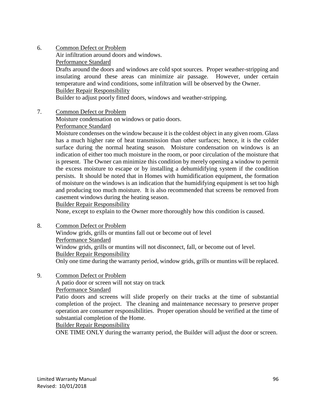Air infiltration around doors and windows. Performance Standard

Drafts around the doors and windows are cold spot sources. Proper weather-stripping and insulating around these areas can minimize air passage. However, under certain temperature and wind conditions, some infiltration will be observed by the Owner. Builder Repair Responsibility

Builder to adjust poorly fitted doors, windows and weather-stripping.

7. Common Defect or Problem

Moisture condensation on windows or patio doors.

Performance Standard

Moisture condenses on the window because it is the coldest object in any given room. Glass has a much higher rate of heat transmission than other surfaces; hence, it is the colder surface during the normal heating season. Moisture condensation on windows is an indication of either too much moisture in the room, or poor circulation of the moisture that is present. The Owner can minimize this condition by merely opening a window to permit the excess moisture to escape or by installing a dehumidifying system if the condition persists. It should be noted that in Homes with humidification equipment, the formation of moisture on the windows is an indication that the humidifying equipment is set too high and producing too much moisture. It is also recommended that screens be removed from casement windows during the heating season.

Builder Repair Responsibility

None, except to explain to the Owner more thoroughly how this condition is caused.

8. Common Defect or Problem

Window grids, grills or muntins fall out or become out of level Performance Standard Window grids, grills or muntins will not disconnect, fall, or become out of level. Builder Repair Responsibility Only one time during the warranty period, window grids, grills or muntins will be replaced.

9. Common Defect or Problem

A patio door or screen will not stay on track

#### Performance Standard

Patio doors and screens will slide properly on their tracks at the time of substantial completion of the project. The cleaning and maintenance necessary to preserve proper operation are consumer responsibilities. Proper operation should be verified at the time of substantial completion of the Home.

#### Builder Repair Responsibility

ONE TIME ONLY during the warranty period, the Builder will adjust the door or screen.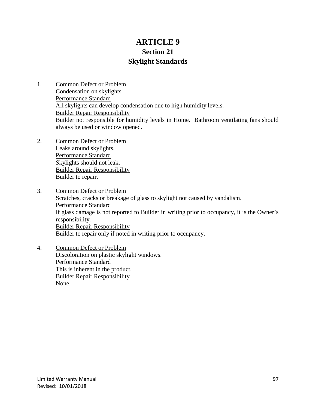# **ARTICLE 9 Section 21 Skylight Standards**

- 1. Common Defect or Problem Condensation on skylights. Performance Standard All skylights can develop condensation due to high humidity levels. Builder Repair Responsibility Builder not responsible for humidity levels in Home. Bathroom ventilating fans should always be used or window opened.
- 2. Common Defect or Problem Leaks around skylights. Performance Standard Skylights should not leak. Builder Repair Responsibility Builder to repair.
- 3. Common Defect or Problem Scratches, cracks or breakage of glass to skylight not caused by vandalism. Performance Standard If glass damage is not reported to Builder in writing prior to occupancy, it is the Owner's responsibility. Builder Repair Responsibility Builder to repair only if noted in writing prior to occupancy.
- 4. Common Defect or Problem Discoloration on plastic skylight windows. Performance Standard This is inherent in the product. Builder Repair Responsibility None.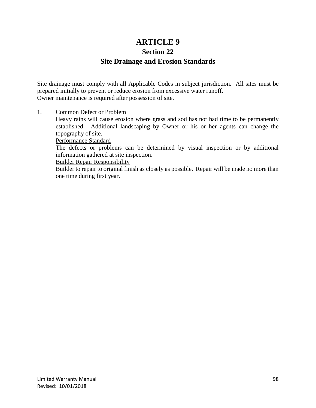# **ARTICLE 9 Section 22 Site Drainage and Erosion Standards**

Site drainage must comply with all Applicable Codes in subject jurisdiction. All sites must be prepared initially to prevent or reduce erosion from excessive water runoff. Owner maintenance is required after possession of site.

1. Common Defect or Problem

Heavy rains will cause erosion where grass and sod has not had time to be permanently established. Additional landscaping by Owner or his or her agents can change the topography of site.

Performance Standard

The defects or problems can be determined by visual inspection or by additional information gathered at site inspection.

Builder Repair Responsibility

Builder to repair to original finish as closely as possible. Repair will be made no more than one time during first year.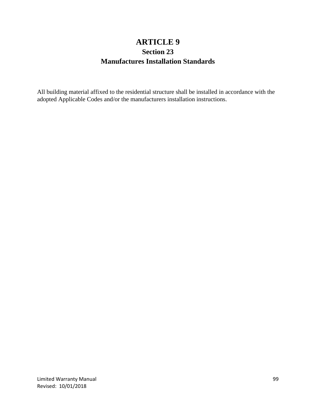# **ARTICLE 9 Section 23 Manufactures Installation Standards**

All building material affixed to the residential structure shall be installed in accordance with the adopted Applicable Codes and/or the manufacturers installation instructions.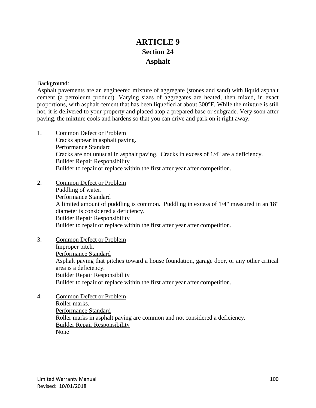# **ARTICLE 9 Section 24 Asphalt**

Background:

Asphalt pavements are an engineered mixture of aggregate (stones and sand) with liquid asphalt cement (a petroleum product). Varying sizes of aggregates are heated, then mixed, in exact proportions, with asphalt cement that has been liquefied at about 300°F. While the mixture is still hot, it is delivered to your property and placed atop a prepared base or subgrade. Very soon after paving, the mixture cools and hardens so that you can drive and park on it right away.

- 1. Common Defect or Problem Cracks appear in asphalt paving. Performance Standard Cracks are not unusual in asphalt paving. Cracks in excess of 1/4" are a deficiency. Builder Repair Responsibility Builder to repair or replace within the first after year after competition.
- 2. Common Defect or Problem Puddling of water. Performance Standard A limited amount of puddling is common. Puddling in excess of 1/4" measured in an 18" diameter is considered a deficiency. Builder Repair Responsibility Builder to repair or replace within the first after year after competition.
- 3. Common Defect or Problem Improper pitch. Performance Standard Asphalt paving that pitches toward a house foundation, garage door, or any other critical area is a deficiency. Builder Repair Responsibility Builder to repair or replace within the first after year after competition.
- 4. Common Defect or Problem Roller marks. Performance Standard Roller marks in asphalt paving are common and not considered a deficiency. Builder Repair Responsibility None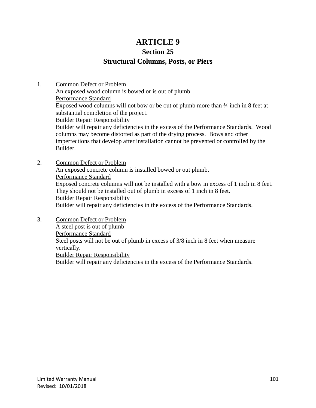# **ARTICLE 9 Section 25 Structural Columns, Posts, or Piers**

- 1. Common Defect or Problem An exposed wood column is bowed or is out of plumb Performance Standard Exposed wood columns will not bow or be out of plumb more than ¾ inch in 8 feet at substantial completion of the project. Builder Repair Responsibility Builder will repair any deficiencies in the excess of the Performance Standards. Wood columns may become distorted as part of the drying process. Bows and other imperfections that develop after installation cannot be prevented or controlled by the Builder.
- 2. Common Defect or Problem An exposed concrete column is installed bowed or out plumb. Performance Standard Exposed concrete columns will not be installed with a bow in excess of 1 inch in 8 feet. They should not be installed out of plumb in excess of 1 inch in 8 feet. Builder Repair Responsibility Builder will repair any deficiencies in the excess of the Performance Standards.
- 3. Common Defect or Problem A steel post is out of plumb Performance Standard Steel posts will not be out of plumb in excess of 3/8 inch in 8 feet when measure vertically. Builder Repair Responsibility Builder will repair any deficiencies in the excess of the Performance Standards.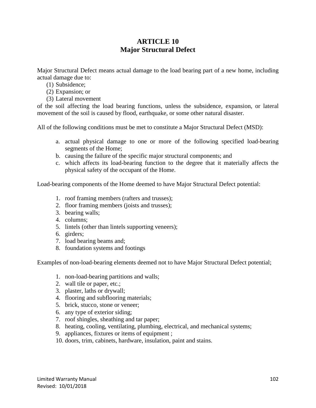## **ARTICLE 10 Major Structural Defect**

Major Structural Defect means actual damage to the load bearing part of a new home, including actual damage due to:

- (1) Subsidence;
- (2) Expansion; or
- (3) Lateral movement

of the soil affecting the load bearing functions, unless the subsidence, expansion, or lateral movement of the soil is caused by flood, earthquake, or some other natural disaster.

All of the following conditions must be met to constitute a Major Structural Defect (MSD):

- a. actual physical damage to one or more of the following specified load-bearing segments of the Home;
- b. causing the failure of the specific major structural components; and
- c. which affects its load-bearing function to the degree that it materially affects the physical safety of the occupant of the Home.

Load-bearing components of the Home deemed to have Major Structural Defect potential:

- 1. roof framing members (rafters and trusses);
- 2. floor framing members (joists and trusses);
- 3. bearing walls;
- 4. columns;
- 5. lintels (other than lintels supporting veneers);
- 6. girders;
- 7. load bearing beams and;
- 8. foundation systems and footings

Examples of non-load-bearing elements deemed not to have Major Structural Defect potential;

- 1. non-load-bearing partitions and walls;
- 2. wall tile or paper, etc.;
- 3. plaster, laths or drywall;
- 4. flooring and subflooring materials;
- 5. brick, stucco, stone or veneer;
- 6. any type of exterior siding;
- 7. roof shingles, sheathing and tar paper;
- 8. heating, cooling, ventilating, plumbing, electrical, and mechanical systems;
- 9. appliances, fixtures or items of equipment ;
- 10. doors, trim, cabinets, hardware, insulation, paint and stains.